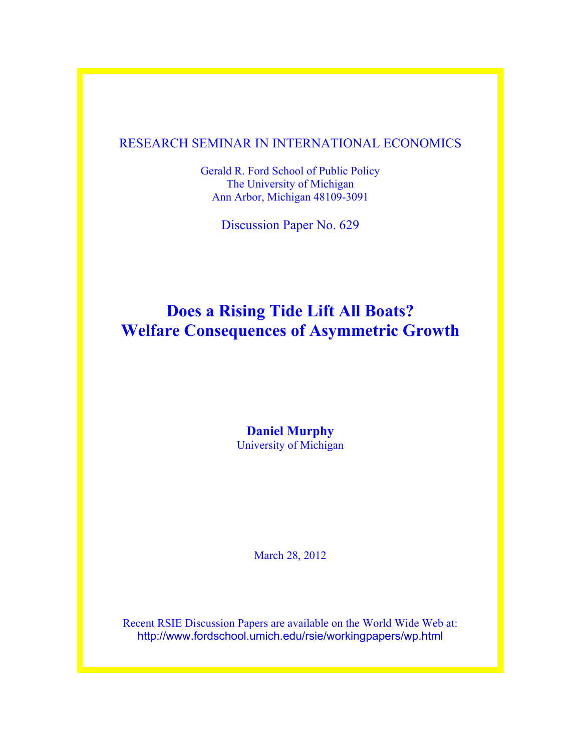### RESEARCH SEMINAR IN INTERNATIONAL ECONOMICS

Gerald R. Ford School of Public Policy The University of Michigan Ann Arbor, Michigan 48109-3091

Discussion Paper No. 629

# **Does a Rising Tide Lift All Boats? Welfare Consequences of Asymmetric Growth**

**Daniel Murphy** University of Michigan

March 28, 2012

Recent RSIE Discussion Papers are available on the World Wide Web at: http://www.fordschool.umich.edu/rsie/workingpapers/wp.html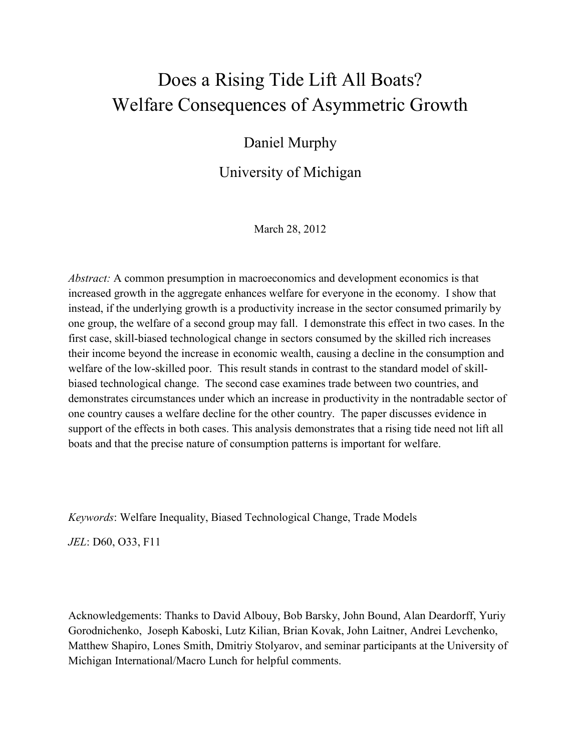# Does a Rising Tide Lift All Boats? Welfare Consequences of Asymmetric Growth

## Daniel Murphy

## University of Michigan

March 28, 2012

*Abstract:* A common presumption in macroeconomics and development economics is that increased growth in the aggregate enhances welfare for everyone in the economy. I show that instead, if the underlying growth is a productivity increase in the sector consumed primarily by one group, the welfare of a second group may fall. I demonstrate this effect in two cases. In the first case, skill-biased technological change in sectors consumed by the skilled rich increases their income beyond the increase in economic wealth, causing a decline in the consumption and welfare of the low-skilled poor. This result stands in contrast to the standard model of skillbiased technological change. The second case examines trade between two countries, and demonstrates circumstances under which an increase in productivity in the nontradable sector of one country causes a welfare decline for the other country. The paper discusses evidence in support of the effects in both cases. This analysis demonstrates that a rising tide need not lift all boats and that the precise nature of consumption patterns is important for welfare.

*Keywords*: Welfare Inequality, Biased Technological Change, Trade Models

*JEL*: D60, O33, F11

Acknowledgements: Thanks to David Albouy, Bob Barsky, John Bound, Alan Deardorff, Yuriy Gorodnichenko, Joseph Kaboski, Lutz Kilian, Brian Kovak, John Laitner, Andrei Levchenko, Matthew Shapiro, Lones Smith, Dmitriy Stolyarov, and seminar participants at the University of Michigan International/Macro Lunch for helpful comments.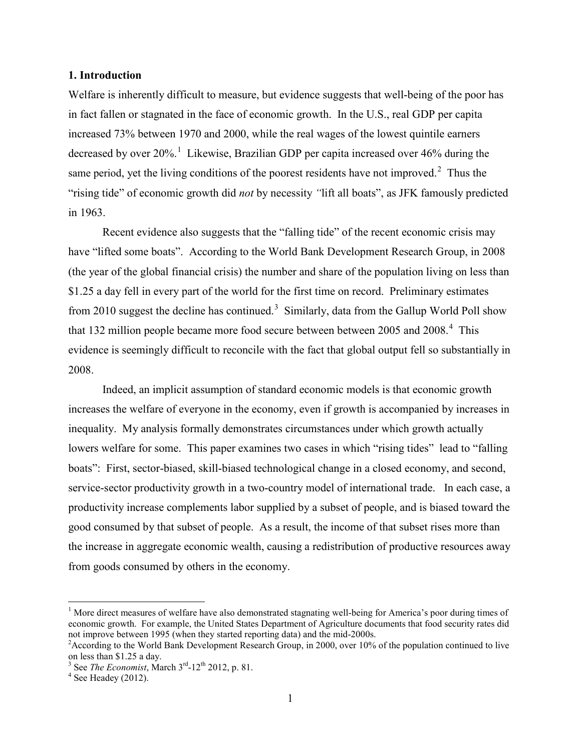#### **1. Introduction**

Welfare is inherently difficult to measure, but evidence suggests that well-being of the poor has in fact fallen or stagnated in the face of economic growth. In the U.S., real GDP per capita increased 73% between 1970 and 2000, while the real wages of the lowest quintile earners decreased by over 20%.<sup>[1](#page-2-0)</sup> Likewise, Brazilian GDP per capita increased over 46% during the same period, yet the living conditions of the poorest residents have not improved. $2$  Thus the "rising tide" of economic growth did *not* by necessity *"*lift all boats", as JFK famously predicted in 1963.

Recent evidence also suggests that the "falling tide" of the recent economic crisis may have "lifted some boats". According to the World Bank Development Research Group, in 2008 (the year of the global financial crisis) the number and share of the population living on less than \$1.25 a day fell in every part of the world for the first time on record. Preliminary estimates from 2010 suggest the decline has continued.<sup>[3](#page-2-2)</sup> Similarly, data from the Gallup World Poll show that 132 million people became more food secure between between  $2005$  and  $2008.<sup>4</sup>$  $2008.<sup>4</sup>$  $2008.<sup>4</sup>$  This evidence is seemingly difficult to reconcile with the fact that global output fell so substantially in 2008.

Indeed, an implicit assumption of standard economic models is that economic growth increases the welfare of everyone in the economy, even if growth is accompanied by increases in inequality. My analysis formally demonstrates circumstances under which growth actually lowers welfare for some. This paper examines two cases in which "rising tides" lead to "falling boats": First, sector-biased, skill-biased technological change in a closed economy, and second, service-sector productivity growth in a two-country model of international trade. In each case, a productivity increase complements labor supplied by a subset of people, and is biased toward the good consumed by that subset of people. As a result, the income of that subset rises more than the increase in aggregate economic wealth, causing a redistribution of productive resources away from goods consumed by others in the economy.

<span id="page-2-0"></span><sup>&</sup>lt;sup>1</sup> More direct measures of welfare have also demonstrated stagnating well-being for America's poor during times of economic growth. For example, the United States Department of Agriculture documents that food security rates did not improve between 1995 (when they started reporting data) and the mid-2000s. 2

<span id="page-2-1"></span><sup>&</sup>lt;sup>2</sup> According to the World Bank Development Research Group, in 2000, over 10% of the population continued to live on less than \$1.25 a day.

<span id="page-2-3"></span><span id="page-2-2"></span><sup>&</sup>lt;sup>3</sup> See *The Economist*, March  $3<sup>rd</sup>$ -12<sup>th</sup> 2012, p. 81.<br><sup>4</sup> See Headey (2012).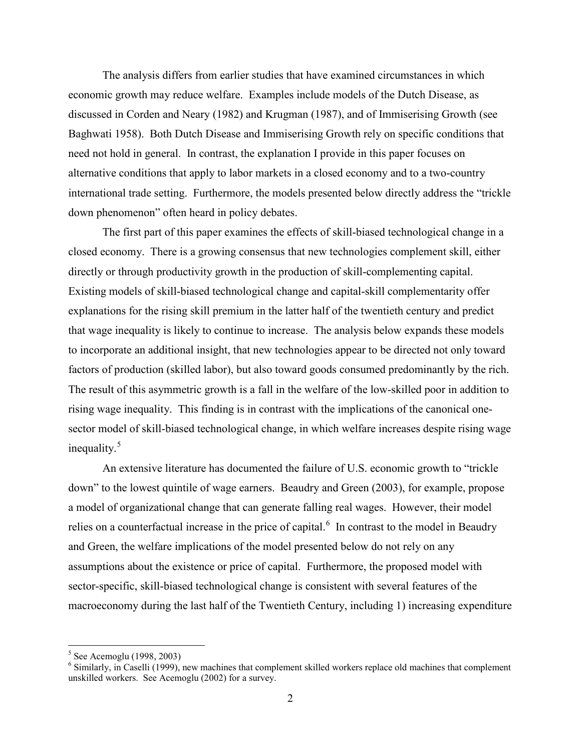The analysis differs from earlier studies that have examined circumstances in which economic growth may reduce welfare. Examples include models of the Dutch Disease, as discussed in Corden and Neary (1982) and Krugman (1987), and of Immiserising Growth (see Baghwati 1958). Both Dutch Disease and Immiserising Growth rely on specific conditions that need not hold in general. In contrast, the explanation I provide in this paper focuses on alternative conditions that apply to labor markets in a closed economy and to a two-country international trade setting. Furthermore, the models presented below directly address the "trickle down phenomenon" often heard in policy debates.

The first part of this paper examines the effects of skill-biased technological change in a closed economy. There is a growing consensus that new technologies complement skill, either directly or through productivity growth in the production of skill-complementing capital. Existing models of skill-biased technological change and capital-skill complementarity offer explanations for the rising skill premium in the latter half of the twentieth century and predict that wage inequality is likely to continue to increase. The analysis below expands these models to incorporate an additional insight, that new technologies appear to be directed not only toward factors of production (skilled labor), but also toward goods consumed predominantly by the rich. The result of this asymmetric growth is a fall in the welfare of the low-skilled poor in addition to rising wage inequality. This finding is in contrast with the implications of the canonical onesector model of skill-biased technological change, in which welfare increases despite rising wage inequality.<sup>[5](#page-3-0)</sup>

An extensive literature has documented the failure of U.S. economic growth to "trickle down" to the lowest quintile of wage earners. Beaudry and Green (2003), for example, propose a model of organizational change that can generate falling real wages. However, their model relies on a counterfactual increase in the price of capital.<sup>[6](#page-3-1)</sup> In contrast to the model in Beaudry and Green, the welfare implications of the model presented below do not rely on any assumptions about the existence or price of capital. Furthermore, the proposed model with sector-specific, skill-biased technological change is consistent with several features of the macroeconomy during the last half of the Twentieth Century, including 1) increasing expenditure

 $5$  See Acemoglu (1998, 2003)

<span id="page-3-1"></span><span id="page-3-0"></span> $6$  Similarly, in Caselli (1999), new machines that complement skilled workers replace old machines that complement unskilled workers. See Acemoglu (2002) for a survey.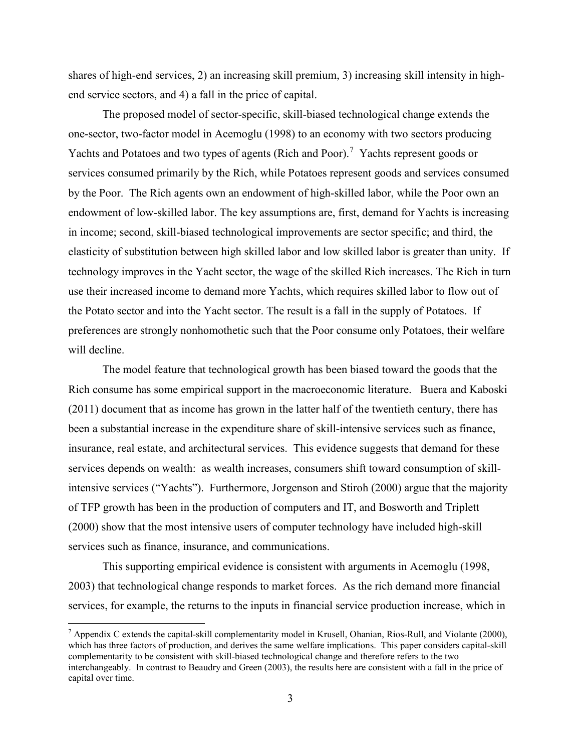shares of high-end services, 2) an increasing skill premium, 3) increasing skill intensity in highend service sectors, and 4) a fall in the price of capital.

The proposed model of sector-specific, skill-biased technological change extends the one-sector, two-factor model in Acemoglu (1998) to an economy with two sectors producing Yachts and Potatoes and two types of agents (Rich and Poor).<sup>[7](#page-4-0)</sup> Yachts represent goods or services consumed primarily by the Rich, while Potatoes represent goods and services consumed by the Poor. The Rich agents own an endowment of high-skilled labor, while the Poor own an endowment of low-skilled labor. The key assumptions are, first, demand for Yachts is increasing in income; second, skill-biased technological improvements are sector specific; and third, the elasticity of substitution between high skilled labor and low skilled labor is greater than unity. If technology improves in the Yacht sector, the wage of the skilled Rich increases. The Rich in turn use their increased income to demand more Yachts, which requires skilled labor to flow out of the Potato sector and into the Yacht sector. The result is a fall in the supply of Potatoes. If preferences are strongly nonhomothetic such that the Poor consume only Potatoes, their welfare will decline.

The model feature that technological growth has been biased toward the goods that the Rich consume has some empirical support in the macroeconomic literature. Buera and Kaboski (2011) document that as income has grown in the latter half of the twentieth century, there has been a substantial increase in the expenditure share of skill-intensive services such as finance, insurance, real estate, and architectural services. This evidence suggests that demand for these services depends on wealth: as wealth increases, consumers shift toward consumption of skillintensive services ("Yachts"). Furthermore, Jorgenson and Stiroh (2000) argue that the majority of TFP growth has been in the production of computers and IT, and Bosworth and Triplett (2000) show that the most intensive users of computer technology have included high-skill services such as finance, insurance, and communications.

This supporting empirical evidence is consistent with arguments in Acemoglu (1998, 2003) that technological change responds to market forces. As the rich demand more financial services, for example, the returns to the inputs in financial service production increase, which in

<span id="page-4-0"></span><sup>&</sup>lt;sup>7</sup> Appendix C extends the capital-skill complementarity model in Krusell, Ohanian, Rios-Rull, and Violante (2000), which has three factors of production, and derives the same welfare implications. This paper considers capital-skill complementarity to be consistent with skill-biased technological change and therefore refers to the two interchangeably. In contrast to Beaudry and Green (2003), the results here are consistent with a fall in the price of capital over time.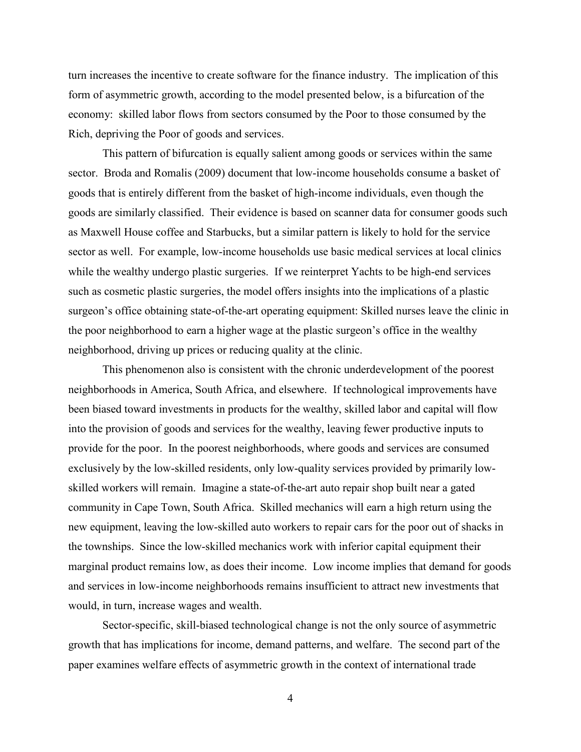turn increases the incentive to create software for the finance industry. The implication of this form of asymmetric growth, according to the model presented below, is a bifurcation of the economy: skilled labor flows from sectors consumed by the Poor to those consumed by the Rich, depriving the Poor of goods and services.

This pattern of bifurcation is equally salient among goods or services within the same sector. Broda and Romalis (2009) document that low-income households consume a basket of goods that is entirely different from the basket of high-income individuals, even though the goods are similarly classified. Their evidence is based on scanner data for consumer goods such as Maxwell House coffee and Starbucks, but a similar pattern is likely to hold for the service sector as well. For example, low-income households use basic medical services at local clinics while the wealthy undergo plastic surgeries. If we reinterpret Yachts to be high-end services such as cosmetic plastic surgeries, the model offers insights into the implications of a plastic surgeon's office obtaining state-of-the-art operating equipment: Skilled nurses leave the clinic in the poor neighborhood to earn a higher wage at the plastic surgeon's office in the wealthy neighborhood, driving up prices or reducing quality at the clinic.

This phenomenon also is consistent with the chronic underdevelopment of the poorest neighborhoods in America, South Africa, and elsewhere. If technological improvements have been biased toward investments in products for the wealthy, skilled labor and capital will flow into the provision of goods and services for the wealthy, leaving fewer productive inputs to provide for the poor. In the poorest neighborhoods, where goods and services are consumed exclusively by the low-skilled residents, only low-quality services provided by primarily lowskilled workers will remain. Imagine a state-of-the-art auto repair shop built near a gated community in Cape Town, South Africa. Skilled mechanics will earn a high return using the new equipment, leaving the low-skilled auto workers to repair cars for the poor out of shacks in the townships. Since the low-skilled mechanics work with inferior capital equipment their marginal product remains low, as does their income. Low income implies that demand for goods and services in low-income neighborhoods remains insufficient to attract new investments that would, in turn, increase wages and wealth.

Sector-specific, skill-biased technological change is not the only source of asymmetric growth that has implications for income, demand patterns, and welfare. The second part of the paper examines welfare effects of asymmetric growth in the context of international trade

4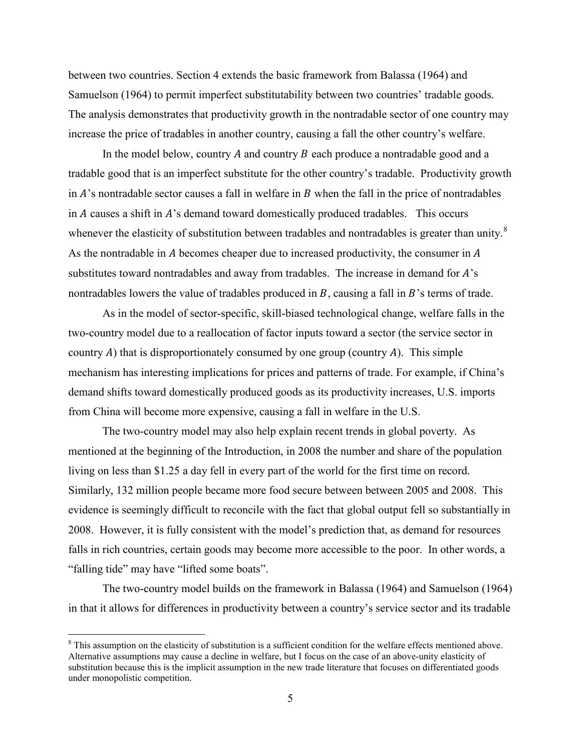between two countries. Section 4 extends the basic framework from Balassa (1964) and Samuelson (1964) to permit imperfect substitutability between two countries' tradable goods. The analysis demonstrates that productivity growth in the nontradable sector of one country may increase the price of tradables in another country, causing a fall the other country's welfare.

In the model below, country  $A$  and country  $B$  each produce a nontradable good and a tradable good that is an imperfect substitute for the other country's tradable. Productivity growth in  $A$ 's nontradable sector causes a fall in welfare in  $B$  when the fall in the price of nontradables in  $\vec{A}$  causes a shift in  $\vec{A}$ 's demand toward domestically produced tradables. This occurs whenever the elasticity of substitution between tradables and nontradables is greater than unity.<sup>[8](#page-6-0)</sup> As the nontradable in  $A$  becomes cheaper due to increased productivity, the consumer in  $A$ substitutes toward nontradables and away from tradables. The increase in demand for  $A$ 's nontradables lowers the value of tradables produced in  $B$ , causing a fall in  $B$ 's terms of trade.

As in the model of sector-specific, skill-biased technological change, welfare falls in the two-country model due to a reallocation of factor inputs toward a sector (the service sector in country A) that is disproportionately consumed by one group (country A). This simple mechanism has interesting implications for prices and patterns of trade. For example, if China's demand shifts toward domestically produced goods as its productivity increases, U.S. imports from China will become more expensive, causing a fall in welfare in the U.S.

The two-country model may also help explain recent trends in global poverty. As mentioned at the beginning of the Introduction, in 2008 the number and share of the population living on less than \$1.25 a day fell in every part of the world for the first time on record. Similarly, 132 million people became more food secure between between 2005 and 2008. This evidence is seemingly difficult to reconcile with the fact that global output fell so substantially in 2008. However, it is fully consistent with the model's prediction that, as demand for resources falls in rich countries, certain goods may become more accessible to the poor. In other words, a "falling tide" may have "lifted some boats".

The two-country model builds on the framework in Balassa (1964) and Samuelson (1964) in that it allows for differences in productivity between a country's service sector and its tradable

<span id="page-6-0"></span><sup>&</sup>lt;sup>8</sup> This assumption on the elasticity of substitution is a sufficient condition for the welfare effects mentioned above. Alternative assumptions may cause a decline in welfare, but I focus on the case of an above-unity elasticity of substitution because this is the implicit assumption in the new trade literature that focuses on differentiated goods under monopolistic competition.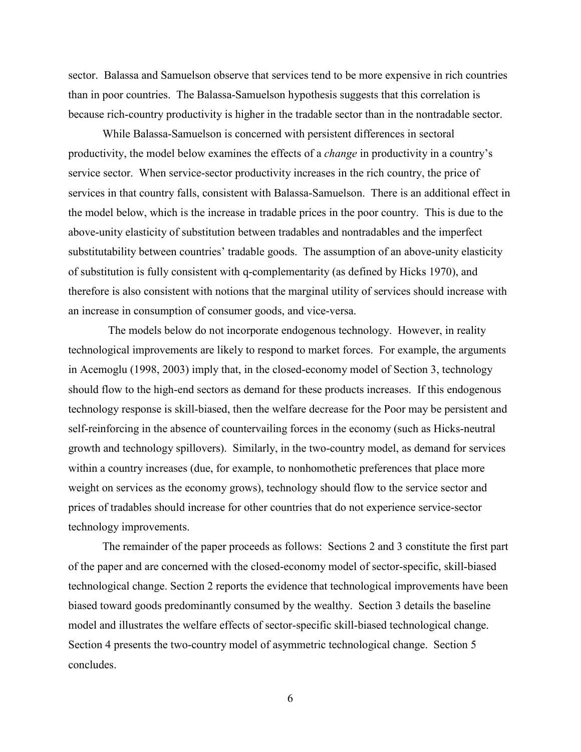sector. Balassa and Samuelson observe that services tend to be more expensive in rich countries than in poor countries. The Balassa-Samuelson hypothesis suggests that this correlation is because rich-country productivity is higher in the tradable sector than in the nontradable sector.

While Balassa-Samuelson is concerned with persistent differences in sectoral productivity, the model below examines the effects of a *change* in productivity in a country's service sector. When service-sector productivity increases in the rich country, the price of services in that country falls, consistent with Balassa-Samuelson. There is an additional effect in the model below, which is the increase in tradable prices in the poor country. This is due to the above-unity elasticity of substitution between tradables and nontradables and the imperfect substitutability between countries' tradable goods. The assumption of an above-unity elasticity of substitution is fully consistent with q-complementarity (as defined by Hicks 1970), and therefore is also consistent with notions that the marginal utility of services should increase with an increase in consumption of consumer goods, and vice-versa.

 The models below do not incorporate endogenous technology. However, in reality technological improvements are likely to respond to market forces. For example, the arguments in Acemoglu (1998, 2003) imply that, in the closed-economy model of Section 3, technology should flow to the high-end sectors as demand for these products increases. If this endogenous technology response is skill-biased, then the welfare decrease for the Poor may be persistent and self-reinforcing in the absence of countervailing forces in the economy (such as Hicks-neutral growth and technology spillovers). Similarly, in the two-country model, as demand for services within a country increases (due, for example, to nonhomothetic preferences that place more weight on services as the economy grows), technology should flow to the service sector and prices of tradables should increase for other countries that do not experience service-sector technology improvements.

The remainder of the paper proceeds as follows: Sections 2 and 3 constitute the first part of the paper and are concerned with the closed-economy model of sector-specific, skill-biased technological change. Section 2 reports the evidence that technological improvements have been biased toward goods predominantly consumed by the wealthy. Section 3 details the baseline model and illustrates the welfare effects of sector-specific skill-biased technological change. Section 4 presents the two-country model of asymmetric technological change. Section 5 concludes.

6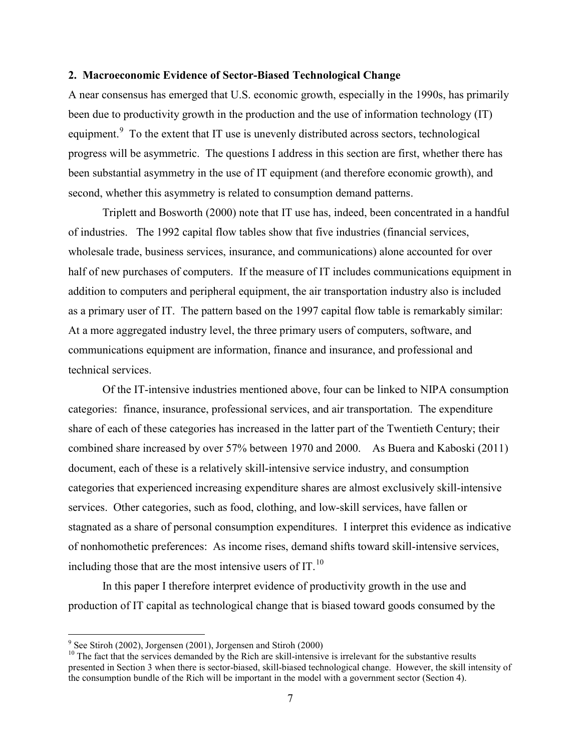#### **2. Macroeconomic Evidence of Sector-Biased Technological Change**

A near consensus has emerged that U.S. economic growth, especially in the 1990s, has primarily been due to productivity growth in the production and the use of information technology (IT) equipment.<sup>[9](#page-8-0)</sup> To the extent that IT use is unevenly distributed across sectors, technological progress will be asymmetric. The questions I address in this section are first, whether there has been substantial asymmetry in the use of IT equipment (and therefore economic growth), and second, whether this asymmetry is related to consumption demand patterns.

Triplett and Bosworth (2000) note that IT use has, indeed, been concentrated in a handful of industries. The 1992 capital flow tables show that five industries (financial services, wholesale trade, business services, insurance, and communications) alone accounted for over half of new purchases of computers. If the measure of IT includes communications equipment in addition to computers and peripheral equipment, the air transportation industry also is included as a primary user of IT. The pattern based on the 1997 capital flow table is remarkably similar: At a more aggregated industry level, the three primary users of computers, software, and communications equipment are information, finance and insurance, and professional and technical services.

Of the IT-intensive industries mentioned above, four can be linked to NIPA consumption categories: finance, insurance, professional services, and air transportation. The expenditure share of each of these categories has increased in the latter part of the Twentieth Century; their combined share increased by over 57% between 1970 and 2000. As Buera and Kaboski (2011) document, each of these is a relatively skill-intensive service industry, and consumption categories that experienced increasing expenditure shares are almost exclusively skill-intensive services. Other categories, such as food, clothing, and low-skill services, have fallen or stagnated as a share of personal consumption expenditures. I interpret this evidence as indicative of nonhomothetic preferences: As income rises, demand shifts toward skill-intensive services, including those that are the most intensive users of IT. $^{10}$  $^{10}$  $^{10}$ 

In this paper I therefore interpret evidence of productivity growth in the use and production of IT capital as technological change that is biased toward goods consumed by the

<span id="page-8-0"></span> $9^9$  See Stiroh (2002), Jorgensen (2001), Jorgensen and Stiroh (2000)

<span id="page-8-1"></span><sup>&</sup>lt;sup>10</sup> The fact that the services demanded by the Rich are skill-intensive is irrelevant for the substantive results presented in Section 3 when there is sector-biased, skill-biased technological change. However, the skill intensity of the consumption bundle of the Rich will be important in the model with a government sector (Section 4).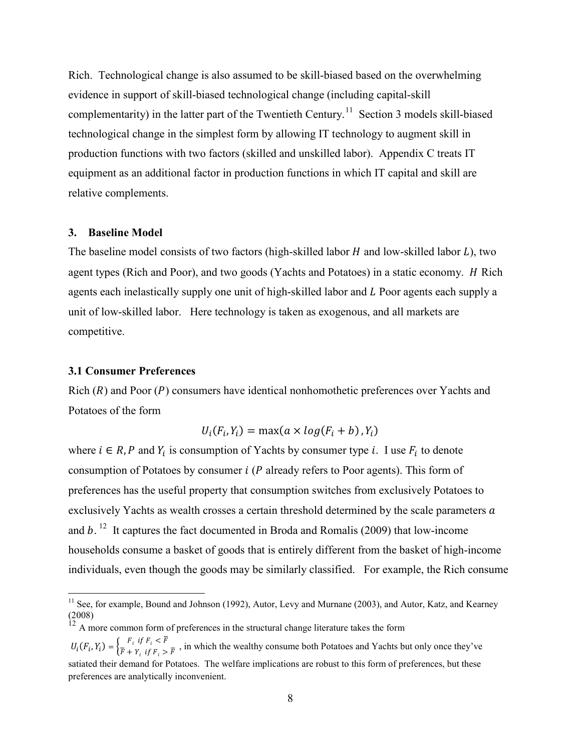Rich. Technological change is also assumed to be skill-biased based on the overwhelming evidence in support of skill-biased technological change (including capital-skill complementarity) in the latter part of the Twentieth Century.<sup>[11](#page-9-0)</sup> Section 3 models skill-biased technological change in the simplest form by allowing IT technology to augment skill in production functions with two factors (skilled and unskilled labor). Appendix C treats IT equipment as an additional factor in production functions in which IT capital and skill are relative complements.

#### **3. Baseline Model**

The baseline model consists of two factors (high-skilled labor  $H$  and low-skilled labor  $L$ ), two agent types (Rich and Poor), and two goods (Yachts and Potatoes) in a static economy. *H* Rich agents each inelastically supply one unit of high-skilled labor and L Poor agents each supply a unit of low-skilled labor. Here technology is taken as exogenous, and all markets are competitive.

#### **3.1 Consumer Preferences**

Rich  $(R)$  and Poor  $(P)$  consumers have identical nonhomothetic preferences over Yachts and Potatoes of the form

$$
U_i(F_i, Y_i) = \max(a \times \log(F_i + b), Y_i)
$$

where  $i \in R$ , P and  $Y_i$  is consumption of Yachts by consumer type i. I use  $F_i$  to denote consumption of Potatoes by consumer  $i$  ( $P$  already refers to Poor agents). This form of preferences has the useful property that consumption switches from exclusively Potatoes to exclusively Yachts as wealth crosses a certain threshold determined by the scale parameters  $a$ and  $b$ . <sup>[12](#page-9-1)</sup> It captures the fact documented in Broda and Romalis (2009) that low-income households consume a basket of goods that is entirely different from the basket of high-income individuals, even though the goods may be similarly classified. For example, the Rich consume

<span id="page-9-0"></span><sup>&</sup>lt;sup>11</sup> See, for example, Bound and Johnson (1992), Autor, Levy and Murnane (2003), and Autor, Katz, and Kearney (2008)

<span id="page-9-1"></span> $12$  A more common form of preferences in the structural change literature takes the form

 $U_i(F_i, Y_i) = \begin{cases} F_i & \text{if } F_i \leq \overline{F} \\ \overline{F} + Y_i & \text{if } F_i > \overline{F} \end{cases}$ , in which the wealthy consume both Potatoes and Yachts but only once they've satiated their demand for Potatoes. The welfare implications are robust to this form of preferences, but these preferences are analytically inconvenient.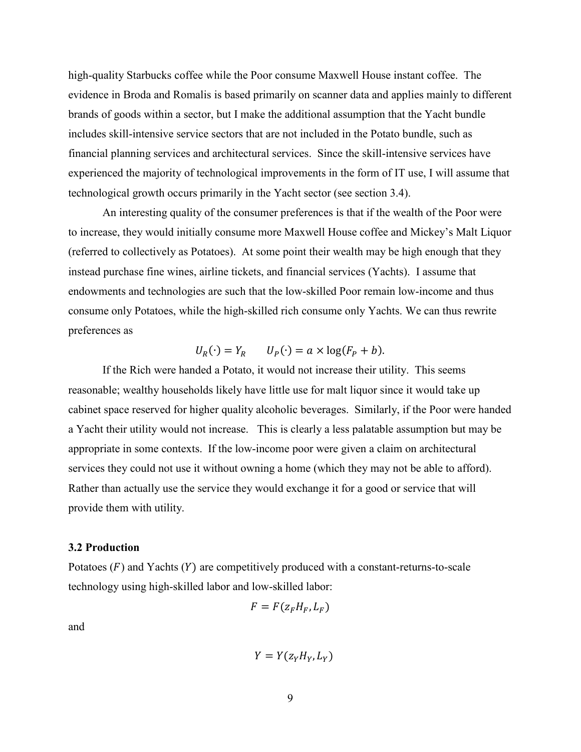high-quality Starbucks coffee while the Poor consume Maxwell House instant coffee. The evidence in Broda and Romalis is based primarily on scanner data and applies mainly to different brands of goods within a sector, but I make the additional assumption that the Yacht bundle includes skill-intensive service sectors that are not included in the Potato bundle, such as financial planning services and architectural services. Since the skill-intensive services have experienced the majority of technological improvements in the form of IT use, I will assume that technological growth occurs primarily in the Yacht sector (see section 3.4).

An interesting quality of the consumer preferences is that if the wealth of the Poor were to increase, they would initially consume more Maxwell House coffee and Mickey's Malt Liquor (referred to collectively as Potatoes). At some point their wealth may be high enough that they instead purchase fine wines, airline tickets, and financial services (Yachts). I assume that endowments and technologies are such that the low-skilled Poor remain low-income and thus consume only Potatoes, while the high-skilled rich consume only Yachts. We can thus rewrite preferences as

$$
U_R(\cdot) = Y_R \qquad U_P(\cdot) = a \times \log(F_P + b).
$$

If the Rich were handed a Potato, it would not increase their utility. This seems reasonable; wealthy households likely have little use for malt liquor since it would take up cabinet space reserved for higher quality alcoholic beverages. Similarly, if the Poor were handed a Yacht their utility would not increase. This is clearly a less palatable assumption but may be appropriate in some contexts. If the low-income poor were given a claim on architectural services they could not use it without owning a home (which they may not be able to afford). Rather than actually use the service they would exchange it for a good or service that will provide them with utility.

#### **3.2 Production**

Potatoes  $(F)$  and Yachts  $(Y)$  are competitively produced with a constant-returns-to-scale technology using high-skilled labor and low-skilled labor:

$$
F = F(z_F H_F, L_F)
$$

and

$$
Y=Y(z_YH_Y,L_Y)
$$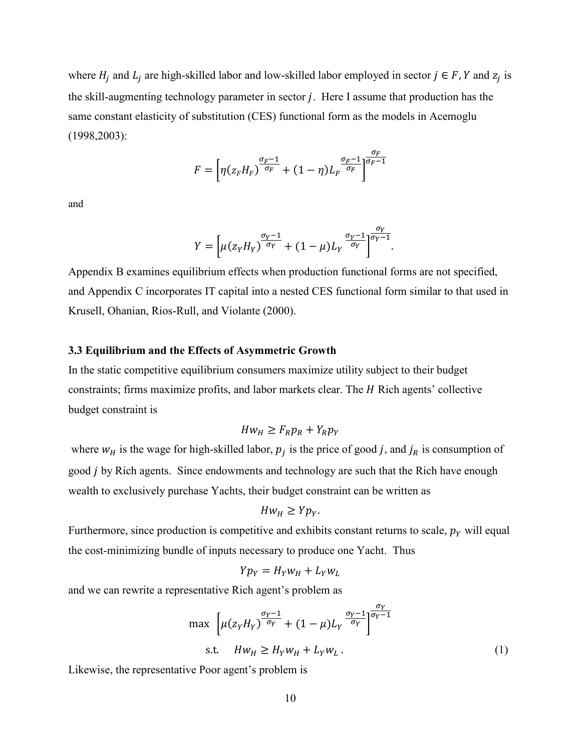where  $H_i$  and  $L_i$  are high-skilled labor and low-skilled labor employed in sector  $j \in F$ , Y and  $z_i$  is the skill-augmenting technology parameter in sector  $j$ . Here I assume that production has the same constant elasticity of substitution (CES) functional form as the models in Acemoglu (1998,2003):

$$
F = \left[ \eta \left( z_F H_F \right)^{\frac{\sigma_F - 1}{\sigma_F}} + (1 - \eta) L_F^{-\frac{\sigma_F - 1}{\sigma_F}} \right]^{\frac{\sigma_F}{\sigma_F - 1}}
$$

and

$$
Y = \left[\mu(z_Y H_Y)^{\frac{\sigma_Y - 1}{\sigma_Y}} + (1 - \mu)L_Y^{\frac{\sigma_Y - 1}{\sigma_Y}}\right]^{\frac{\sigma_Y}{\sigma_Y - 1}}.
$$

Appendix B examines equilibrium effects when production functional forms are not specified, and Appendix C incorporates IT capital into a nested CES functional form similar to that used in Krusell, Ohanian, Rios-Rull, and Violante (2000).

#### **3.3 Equilibrium and the Effects of Asymmetric Growth**

In the static competitive equilibrium consumers maximize utility subject to their budget constraints; firms maximize profits, and labor markets clear. The *H* Rich agents' collective budget constraint is

$$
Hw_H \geq F_R p_R + Y_R p_Y
$$

where  $w_H$  is the wage for high-skilled labor,  $p_i$  is the price of good j, and  $j_R$  is consumption of good *j* by Rich agents. Since endowments and technology are such that the Rich have enough wealth to exclusively purchase Yachts, their budget constraint can be written as

$$
Hw_H \geq Yp_Y.
$$

Furthermore, since production is competitive and exhibits constant returns to scale,  $p<sub>Y</sub>$  will equal the cost-minimizing bundle of inputs necessary to produce one Yacht. Thus

$$
Yp_Y = H_Y w_H + L_Y w_L
$$

and we can rewrite a representative Rich agent's problem as

$$
\max \left[ \mu(z_Y H_Y)^{\frac{\sigma_Y - 1}{\sigma_Y}} + (1 - \mu) L_Y^{\frac{\sigma_Y - 1}{\sigma_Y}} \right]^{\frac{\sigma_Y}{\sigma_Y - 1}}
$$
  
s.t.  $Hw_H \ge H_Y w_H + L_Y w_L$ . (1)

Likewise, the representative Poor agent's problem is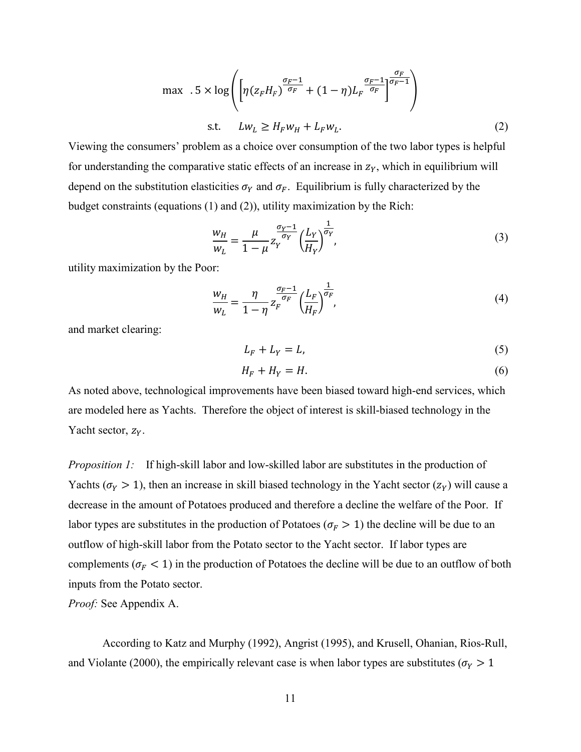$$
\max \quad .5 \times \log \left( \left[ \eta (z_F H_F)^{\frac{\sigma_F - 1}{\sigma_F}} + (1 - \eta) L_F^{\frac{\sigma_F - 1}{\sigma_F}} \right]^{\frac{\sigma_F}{\sigma_F - 1}} \right)
$$
\n
$$
\text{s.t.} \quad L w_L \ge H_F w_H + L_F w_L. \tag{2}
$$

Viewing the consumers' problem as a choice over consumption of the two labor types is helpful for understanding the comparative static effects of an increase in  $z<sub>Y</sub>$ , which in equilibrium will depend on the substitution elasticities  $\sigma_Y$  and  $\sigma_F$ . Equilibrium is fully characterized by the budget constraints (equations (1) and (2)), utility maximization by the Rich:

$$
\frac{w_H}{w_L} = \frac{\mu}{1 - \mu} z_Y^{\frac{\sigma_Y - 1}{\sigma_Y}} \left(\frac{L_Y}{H_Y}\right)^{\frac{1}{\sigma_Y}},\tag{3}
$$

utility maximization by the Poor:

$$
\frac{w_H}{w_L} = \frac{\eta}{1 - \eta} z_F^{\frac{\sigma_F - 1}{\sigma_F}} \left(\frac{L_F}{H_F}\right)^{\frac{1}{\sigma_F}},\tag{4}
$$

and market clearing:

$$
L_F + L_Y = L,\t\t(5)
$$

$$
H_F + H_Y = H.\t\t(6)
$$

As noted above, technological improvements have been biased toward high-end services, which are modeled here as Yachts. Therefore the object of interest is skill-biased technology in the Yacht sector,  $z_y$ .

*Proposition 1:* If high-skill labor and low-skilled labor are substitutes in the production of Yachts ( $\sigma_Y > 1$ ), then an increase in skill biased technology in the Yacht sector ( $z_Y$ ) will cause a decrease in the amount of Potatoes produced and therefore a decline the welfare of the Poor. If labor types are substitutes in the production of Potatoes ( $\sigma_F > 1$ ) the decline will be due to an outflow of high-skill labor from the Potato sector to the Yacht sector. If labor types are complements ( $\sigma_F$  < 1) in the production of Potatoes the decline will be due to an outflow of both inputs from the Potato sector.

*Proof:* See Appendix A.

According to Katz and Murphy (1992), Angrist (1995), and Krusell, Ohanian, Rios-Rull, and Violante (2000), the empirically relevant case is when labor types are substitutes ( $\sigma_Y > 1$ )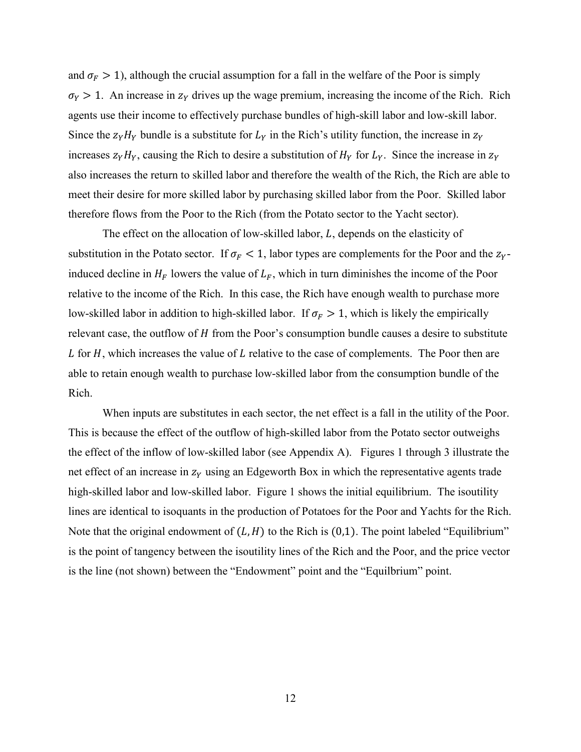and  $\sigma_F > 1$ ), although the crucial assumption for a fall in the welfare of the Poor is simply  $\sigma_Y > 1$ . An increase in  $z_Y$  drives up the wage premium, increasing the income of the Rich. Rich agents use their income to effectively purchase bundles of high-skill labor and low-skill labor. Since the  $z_Y H_Y$  bundle is a substitute for  $L_Y$  in the Rich's utility function, the increase in  $z_Y$ increases  $z_Y H_Y$ , causing the Rich to desire a substitution of  $H_Y$  for  $L_Y$ . Since the increase in  $z_Y$ also increases the return to skilled labor and therefore the wealth of the Rich, the Rich are able to meet their desire for more skilled labor by purchasing skilled labor from the Poor. Skilled labor therefore flows from the Poor to the Rich (from the Potato sector to the Yacht sector).

The effect on the allocation of low-skilled labor,  $L$ , depends on the elasticity of substitution in the Potato sector. If  $\sigma_F < 1$ , labor types are complements for the Poor and the z<sub>y</sub>induced decline in  $H_F$  lowers the value of  $L_F$ , which in turn diminishes the income of the Poor relative to the income of the Rich. In this case, the Rich have enough wealth to purchase more low-skilled labor in addition to high-skilled labor. If  $\sigma_F > 1$ , which is likely the empirically relevant case, the outflow of  $H$  from the Poor's consumption bundle causes a desire to substitute L for  $H$ , which increases the value of  $L$  relative to the case of complements. The Poor then are able to retain enough wealth to purchase low-skilled labor from the consumption bundle of the Rich.

When inputs are substitutes in each sector, the net effect is a fall in the utility of the Poor. This is because the effect of the outflow of high-skilled labor from the Potato sector outweighs the effect of the inflow of low-skilled labor (see Appendix A). Figures 1 through 3 illustrate the net effect of an increase in  $z<sub>y</sub>$  using an Edgeworth Box in which the representative agents trade high-skilled labor and low-skilled labor. Figure 1 shows the initial equilibrium. The isoutility lines are identical to isoquants in the production of Potatoes for the Poor and Yachts for the Rich. Note that the original endowment of  $(L, H)$  to the Rich is (0,1). The point labeled "Equilibrium" is the point of tangency between the isoutility lines of the Rich and the Poor, and the price vector is the line (not shown) between the "Endowment" point and the "Equilbrium" point.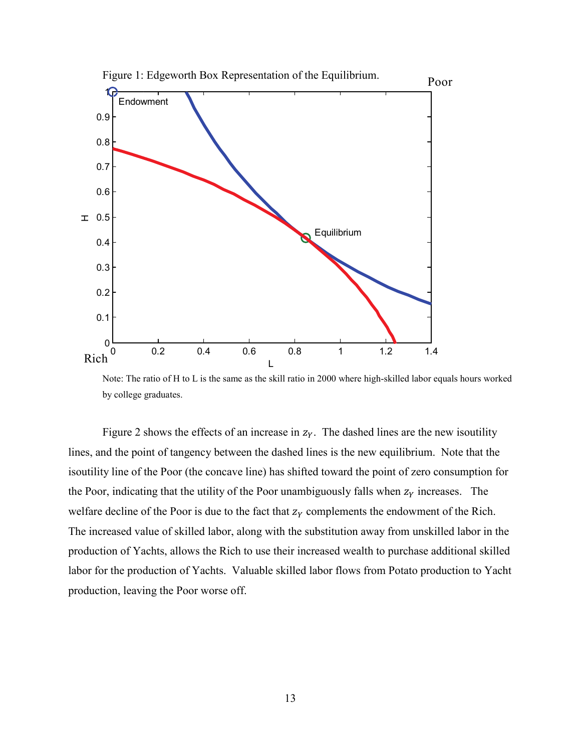

Note: The ratio of H to L is the same as the skill ratio in 2000 where high-skilled labor equals hours worked by college graduates.

Figure 2 shows the effects of an increase in  $z_y$ . The dashed lines are the new isoutility lines, and the point of tangency between the dashed lines is the new equilibrium. Note that the isoutility line of the Poor (the concave line) has shifted toward the point of zero consumption for the Poor, indicating that the utility of the Poor unambiguously falls when  $z<sub>y</sub>$  increases. The welfare decline of the Poor is due to the fact that  $z<sub>Y</sub>$  complements the endowment of the Rich. The increased value of skilled labor, along with the substitution away from unskilled labor in the production of Yachts, allows the Rich to use their increased wealth to purchase additional skilled labor for the production of Yachts. Valuable skilled labor flows from Potato production to Yacht production, leaving the Poor worse off.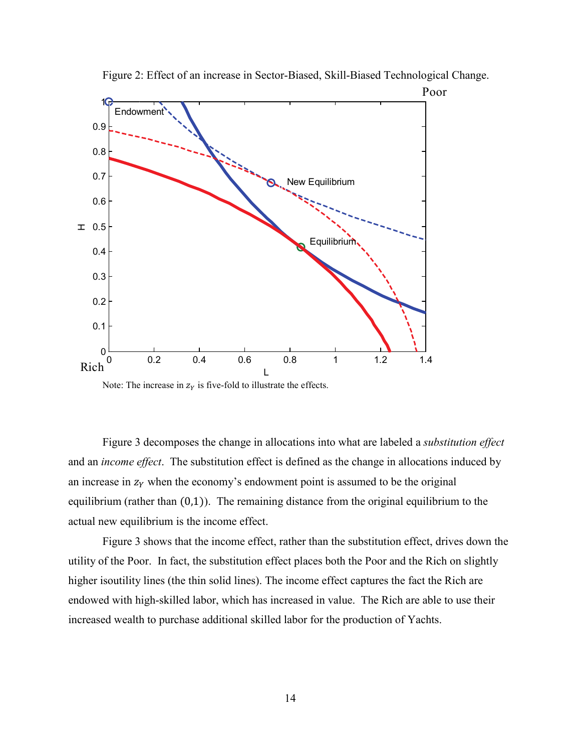

Figure 2: Effect of an increase in Sector-Biased, Skill-Biased Technological Change.

Note: The increase in  $z<sub>Y</sub>$  is five-fold to illustrate the effects.

Figure 3 decomposes the change in allocations into what are labeled a *substitution effect* and an *income effect*. The substitution effect is defined as the change in allocations induced by an increase in  $z<sub>y</sub>$  when the economy's endowment point is assumed to be the original equilibrium (rather than (0,1)). The remaining distance from the original equilibrium to the actual new equilibrium is the income effect.

Figure 3 shows that the income effect, rather than the substitution effect, drives down the utility of the Poor. In fact, the substitution effect places both the Poor and the Rich on slightly higher isoutility lines (the thin solid lines). The income effect captures the fact the Rich are endowed with high-skilled labor, which has increased in value. The Rich are able to use their increased wealth to purchase additional skilled labor for the production of Yachts.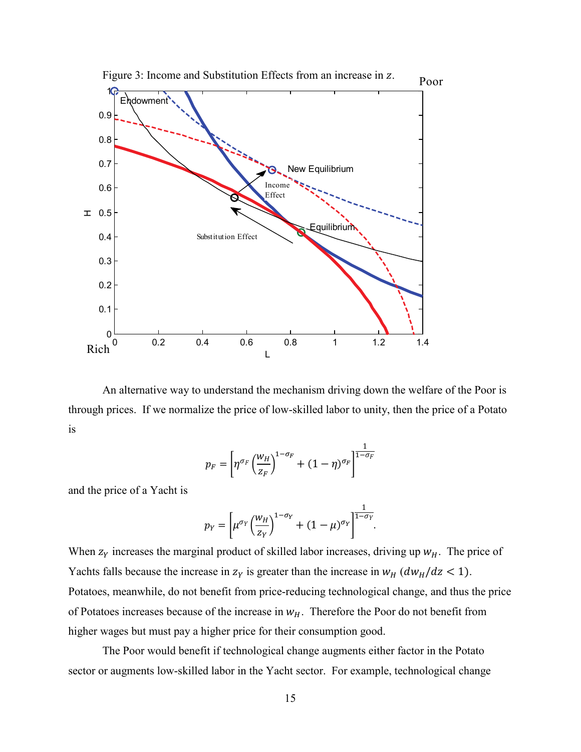

Figure 3: Income and Substitution Effects from an increase in z.

An alternative way to understand the mechanism driving down the welfare of the Poor is through prices. If we normalize the price of low-skilled labor to unity, then the price of a Potato is

$$
p_F = \left[ \eta^{\sigma_F} \left( \frac{w_H}{z_F} \right)^{1-\sigma_F} + (1-\eta)^{\sigma_F} \right]^{1-\sigma_F}
$$

and the price of a Yacht is

$$
p_Y = \left[\mu^{\sigma_Y} \left(\frac{w_H}{z_Y}\right)^{1-\sigma_Y} + (1-\mu)^{\sigma_Y}\right]^{\frac{1}{1-\sigma_Y}}.
$$

When  $z<sub>Y</sub>$  increases the marginal product of skilled labor increases, driving up  $w<sub>H</sub>$ . The price of Yachts falls because the increase in  $z_Y$  is greater than the increase in  $w_H$  ( $dw_H/dz < 1$ ). Potatoes, meanwhile, do not benefit from price-reducing technological change, and thus the price of Potatoes increases because of the increase in  $w_H$ . Therefore the Poor do not benefit from higher wages but must pay a higher price for their consumption good.

The Poor would benefit if technological change augments either factor in the Potato sector or augments low-skilled labor in the Yacht sector. For example, technological change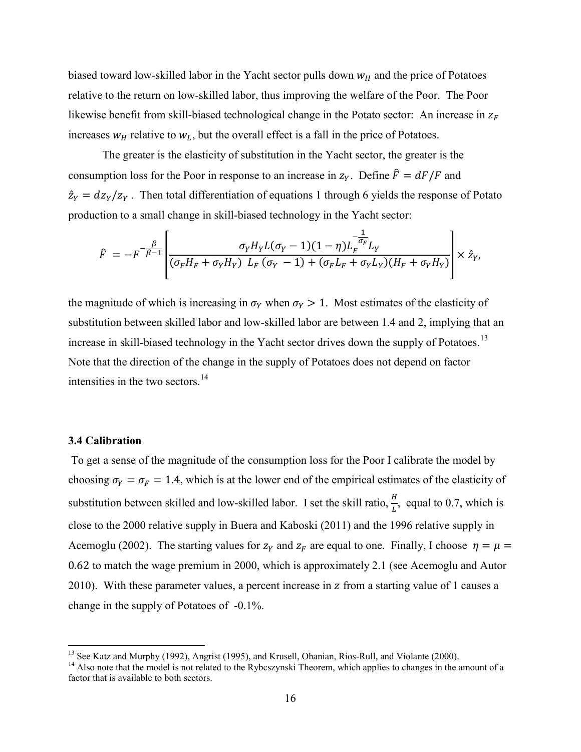biased toward low-skilled labor in the Yacht sector pulls down  $w_H$  and the price of Potatoes relative to the return on low-skilled labor, thus improving the welfare of the Poor. The Poor likewise benefit from skill-biased technological change in the Potato sector: An increase in  $z_F$ increases  $w_H$  relative to  $w_L$ , but the overall effect is a fall in the price of Potatoes.

The greater is the elasticity of substitution in the Yacht sector, the greater is the consumption loss for the Poor in response to an increase in  $z_y$ . Define  $\hat{F} = dF/F$  and  $\hat{z}_Y = \frac{dz_Y}{z_Y}$ . Then total differentiation of equations 1 through 6 yields the response of Potato production to a small change in skill-biased technology in the Yacht sector:

$$
\hat{F} = -F^{-\frac{\beta}{\beta-1}} \left[ \frac{\sigma_Y H_Y L(\sigma_Y - 1)(1-\eta) L_F^{-\frac{1}{\sigma_F}}}{(\sigma_F H_F + \sigma_Y H_Y) L_F (\sigma_Y - 1) + (\sigma_F L_F + \sigma_Y L_Y)(H_F + \sigma_Y H_Y)} \right] \times \hat{z}_Y,
$$

the magnitude of which is increasing in  $\sigma_Y$  when  $\sigma_Y > 1$ . Most estimates of the elasticity of substitution between skilled labor and low-skilled labor are between 1.4 and 2, implying that an increase in skill-biased technology in the Yacht sector drives down the supply of Potatoes.<sup>[13](#page-17-0)</sup> Note that the direction of the change in the supply of Potatoes does not depend on factor intensities in the two sectors.<sup>14</sup>

#### **3.4 Calibration**

To get a sense of the magnitude of the consumption loss for the Poor I calibrate the model by choosing  $\sigma_Y = \sigma_F = 1.4$ , which is at the lower end of the empirical estimates of the elasticity of substitution between skilled and low-skilled labor. I set the skill ratio,  $\frac{H}{I}$  $\frac{u}{L}$ , equal to 0.7, which is close to the 2000 relative supply in Buera and Kaboski (2011) and the 1996 relative supply in Acemoglu (2002). The starting values for  $z_y$  and  $z<sub>F</sub>$  are equal to one. Finally, I choose  $\eta = \mu =$ 0.62 to match the wage premium in 2000, which is approximately 2.1 (see Acemoglu and Autor 2010). With these parameter values, a percent increase in  $\zeta$  from a starting value of 1 causes a change in the supply of Potatoes of -0.1%.

<span id="page-17-1"></span>

<span id="page-17-0"></span><sup>&</sup>lt;sup>13</sup> See Katz and Murphy (1992), Angrist (1995), and Krusell, Ohanian, Rios-Rull, and Violante (2000).<br><sup>14</sup> Also note that the model is not related to the Rybcszynski Theorem, which applies to changes in the amount of a factor that is available to both sectors.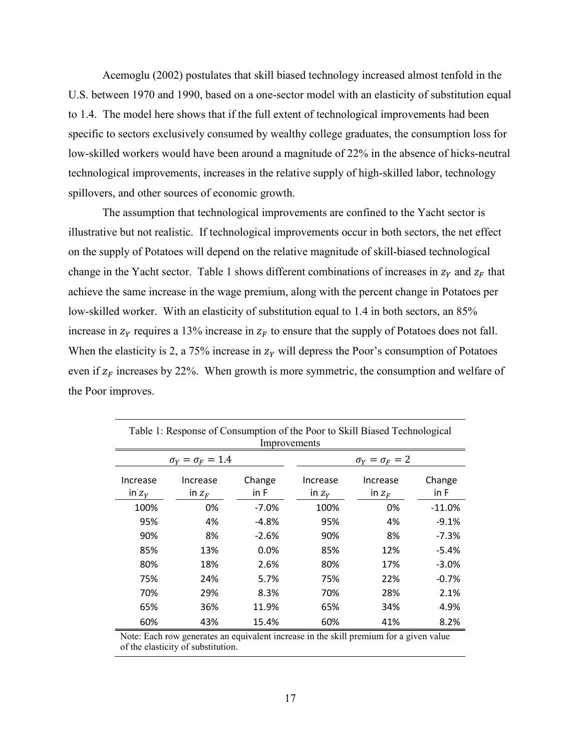Acemoglu (2002) postulates that skill biased technology increased almost tenfold in the U.S. between 1970 and 1990, based on a one-sector model with an elasticity of substitution equal to 1.4. The model here shows that if the full extent of technological improvements had been specific to sectors exclusively consumed by wealthy college graduates, the consumption loss for low-skilled workers would have been around a magnitude of 22% in the absence of hicks-neutral technological improvements, increases in the relative supply of high-skilled labor, technology spillovers, and other sources of economic growth.

The assumption that technological improvements are confined to the Yacht sector is illustrative but not realistic. If technological improvements occur in both sectors, the net effect on the supply of Potatoes will depend on the relative magnitude of skill-biased technological change in the Yacht sector. Table 1 shows different combinations of increases in  $z_y$  and  $z<sub>F</sub>$  that achieve the same increase in the wage premium, along with the percent change in Potatoes per low-skilled worker. With an elasticity of substitution equal to 1.4 in both sectors, an 85% increase in  $z<sub>y</sub>$  requires a 13% increase in  $z<sub>F</sub>$  to ensure that the supply of Potatoes does not fall. When the elasticity is 2, a 75% increase in  $z<sub>y</sub>$  will depress the Poor's consumption of Potatoes even if  $z_F$  increases by 22%. When growth is more symmetric, the consumption and welfare of the Poor improves.

| Table 1: Response of Consumption of the Poor to Skill Biased Technological<br>Improvements |                      |                |                           |                      |                |  |  |  |  |  |
|--------------------------------------------------------------------------------------------|----------------------|----------------|---------------------------|----------------------|----------------|--|--|--|--|--|
| $\sigma_Y = \sigma_F = 1.4$                                                                |                      |                | $\sigma_Y = \sigma_F = 2$ |                      |                |  |  |  |  |  |
| Increase<br>in $Z_V$                                                                       | Increase<br>in $Z_F$ | Change<br>in F | Increase<br>in $Z_V$      | Increase<br>in $Z_F$ | Change<br>in F |  |  |  |  |  |
| 100%                                                                                       | 0%                   | $-7.0%$        | 100%                      | 0%                   | $-11.0%$       |  |  |  |  |  |
| 95%                                                                                        | 4%                   | -4.8%          | 95%                       | 4%                   | $-9.1%$        |  |  |  |  |  |
| 90%                                                                                        | 8%                   | $-2.6%$        | 90%                       | 8%                   | $-7.3%$        |  |  |  |  |  |
| 85%                                                                                        | 13%                  | 0.0%           | 85%                       | 12%                  | $-5.4%$        |  |  |  |  |  |
| 80%                                                                                        | 18%                  | 2.6%           | 80%                       | 17%                  | $-3.0%$        |  |  |  |  |  |
| 75%                                                                                        | 24%                  | 5.7%           | 75%                       | 22%                  | $-0.7%$        |  |  |  |  |  |
| 70%                                                                                        | 29%                  | 8.3%           | 70%                       | 28%                  | 2.1%           |  |  |  |  |  |
| 65%                                                                                        | 36%                  | 11.9%          | 65%                       | 34%                  | 4.9%           |  |  |  |  |  |
| 60%                                                                                        | 43%                  | 15.4%          | 60%                       | 41%                  | 8.2%           |  |  |  |  |  |

Note: Each row generates an equivalent increase in the skill premium for a given value of the elasticity of substitution.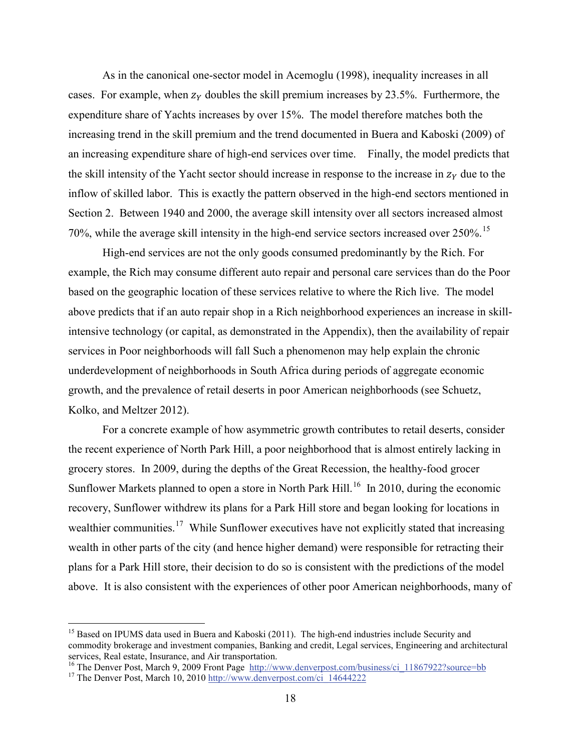As in the canonical one-sector model in Acemoglu (1998), inequality increases in all cases. For example, when  $z_v$  doubles the skill premium increases by 23.5%. Furthermore, the expenditure share of Yachts increases by over 15%. The model therefore matches both the increasing trend in the skill premium and the trend documented in Buera and Kaboski (2009) of an increasing expenditure share of high-end services over time. Finally, the model predicts that the skill intensity of the Yacht sector should increase in response to the increase in  $z<sub>y</sub>$  due to the inflow of skilled labor. This is exactly the pattern observed in the high-end sectors mentioned in Section 2. Between 1940 and 2000, the average skill intensity over all sectors increased almost 70%, while the average skill intensity in the high-end service sectors increased over 250%.<sup>[15](#page-19-0)</sup>

High-end services are not the only goods consumed predominantly by the Rich. For example, the Rich may consume different auto repair and personal care services than do the Poor based on the geographic location of these services relative to where the Rich live. The model above predicts that if an auto repair shop in a Rich neighborhood experiences an increase in skillintensive technology (or capital, as demonstrated in the Appendix), then the availability of repair services in Poor neighborhoods will fall Such a phenomenon may help explain the chronic underdevelopment of neighborhoods in South Africa during periods of aggregate economic growth, and the prevalence of retail deserts in poor American neighborhoods (see Schuetz, Kolko, and Meltzer 2012).

For a concrete example of how asymmetric growth contributes to retail deserts, consider the recent experience of North Park Hill, a poor neighborhood that is almost entirely lacking in grocery stores. In 2009, during the depths of the Great Recession, the healthy-food grocer Sunflower Markets planned to open a store in North Park Hill.<sup>[16](#page-19-1)</sup> In 2010, during the economic recovery, Sunflower withdrew its plans for a Park Hill store and began looking for locations in wealthier communities.<sup>[17](#page-19-2)</sup> While Sunflower executives have not explicitly stated that increasing wealth in other parts of the city (and hence higher demand) were responsible for retracting their plans for a Park Hill store, their decision to do so is consistent with the predictions of the model above. It is also consistent with the experiences of other poor American neighborhoods, many of

<span id="page-19-0"></span><sup>&</sup>lt;sup>15</sup> Based on IPUMS data used in Buera and Kaboski (2011). The high-end industries include Security and commodity brokerage and investment companies, Banking and credit, Legal services, Engineering and architectural services, Real estate, Insurance, and Air transportation.

<span id="page-19-1"></span><sup>&</sup>lt;sup>16</sup> The Denver Post, March 9, 2009 Front Page [http://www.denverpost.com/business/ci\\_11867922?source=bb](http://www.denverpost.com/business/ci_11867922?source=bb) <sup>17</sup> The Denver Post, March 10, 2010 [http://www.denverpost.com/ci\\_14644222](http://www.denverpost.com/ci_14644222)

<span id="page-19-2"></span>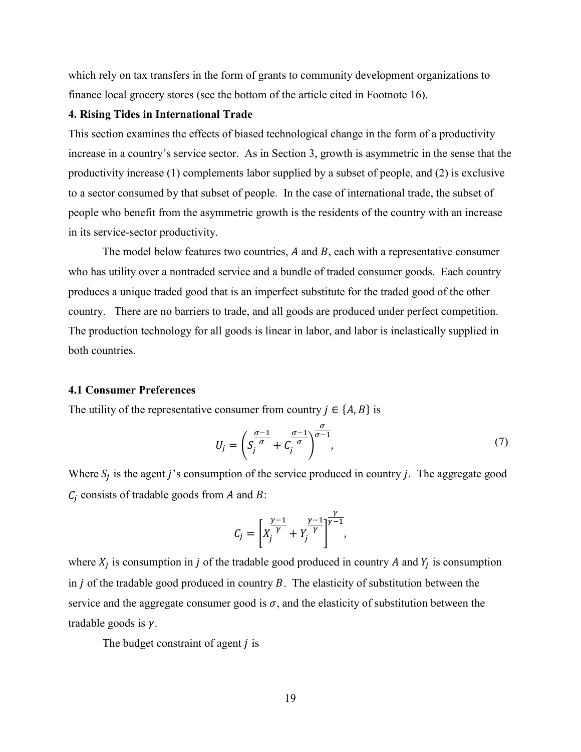which rely on tax transfers in the form of grants to community development organizations to finance local grocery stores (see the bottom of the article cited in Footnote 16).

#### **4. Rising Tides in International Trade**

This section examines the effects of biased technological change in the form of a productivity increase in a country's service sector. As in Section 3, growth is asymmetric in the sense that the productivity increase (1) complements labor supplied by a subset of people, and (2) is exclusive to a sector consumed by that subset of people. In the case of international trade, the subset of people who benefit from the asymmetric growth is the residents of the country with an increase in its service-sector productivity.

The model below features two countries,  $A$  and  $B$ , each with a representative consumer who has utility over a nontraded service and a bundle of traded consumer goods. Each country produces a unique traded good that is an imperfect substitute for the traded good of the other country. There are no barriers to trade, and all goods are produced under perfect competition. The production technology for all goods is linear in labor, and labor is inelastically supplied in both countries.

#### **4.1 Consumer Preferences**

The utility of the representative consumer from country  $j \in \{A, B\}$  is

$$
U_j = \left( S_j^{\frac{\sigma - 1}{\sigma}} + C_j^{\frac{\sigma - 1}{\sigma}} \right)^{\frac{\sigma}{\sigma - 1}},\tag{7}
$$

Where  $S_j$  is the agent j's consumption of the service produced in country j. The aggregate good  $C_i$  consists of tradable goods from A and B:

$$
C_j = \left[ X_j^{\frac{\gamma - 1}{\gamma}} + Y_j^{\frac{\gamma - 1}{\gamma}} \right]^{\frac{\gamma}{\gamma - 1}},
$$

where  $X_i$  is consumption in *j* of the tradable good produced in country *A* and  $Y_i$  is consumption in  $j$  of the tradable good produced in country  $B$ . The elasticity of substitution between the service and the aggregate consumer good is  $\sigma$ , and the elasticity of substitution between the tradable goods is  $\nu$ .

The budget constraint of agent  *is*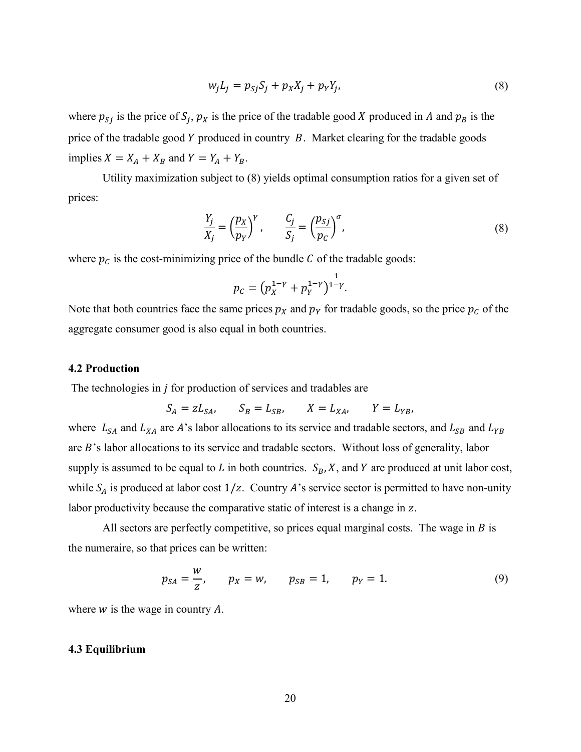$$
w_j L_j = p_{Sj} S_j + p_X X_j + p_Y Y_j, \qquad (8)
$$

where  $p_{S_i}$  is the price of  $S_i$ ,  $p_X$  is the price of the tradable good X produced in A and  $p_B$  is the price of the tradable good  $Y$  produced in country  $B$ . Market clearing for the tradable goods implies  $X = X_A + X_B$  and  $Y = Y_A + Y_B$ .

Utility maximization subject to (8) yields optimal consumption ratios for a given set of prices:

$$
\frac{Y_j}{X_j} = \left(\frac{p_X}{p_Y}\right)^{\gamma}, \qquad \frac{C_j}{S_j} = \left(\frac{p_{Sj}}{p_C}\right)^{\sigma},\tag{8}
$$

where  $p_c$  is the cost-minimizing price of the bundle  $C$  of the tradable goods:

$$
p_C = (p_X^{1-\gamma} + p_Y^{1-\gamma})^{\frac{1}{1-\gamma}}.
$$

Note that both countries face the same prices  $p_x$  and  $p_y$  for tradable goods, so the price  $p_c$  of the aggregate consumer good is also equal in both countries.

#### **4.2 Production**

The technologies in  $j$  for production of services and tradables are

$$
S_A = zL_{SA}, \qquad S_B = L_{SB}, \qquad X = L_{XA}, \qquad Y = L_{YB},
$$

where  $L_{SA}$  and  $L_{XA}$  are A's labor allocations to its service and tradable sectors, and  $L_{SB}$  and  $L_{YB}$ are  $B$ 's labor allocations to its service and tradable sectors. Without loss of generality, labor supply is assumed to be equal to  $L$  in both countries.  $S_B$ ,  $X$ , and  $Y$  are produced at unit labor cost, while  $S_A$  is produced at labor cost  $1/z$ . Country A's service sector is permitted to have non-unity labor productivity because the comparative static of interest is a change in z.

All sectors are perfectly competitive, so prices equal marginal costs. The wage in  $B$  is the numeraire, so that prices can be written:

$$
p_{SA} = \frac{w}{z}
$$
,  $p_X = w$ ,  $p_{SB} = 1$ ,  $p_Y = 1$ . (9)

where  $w$  is the wage in country  $A$ .

#### **4.3 Equilibrium**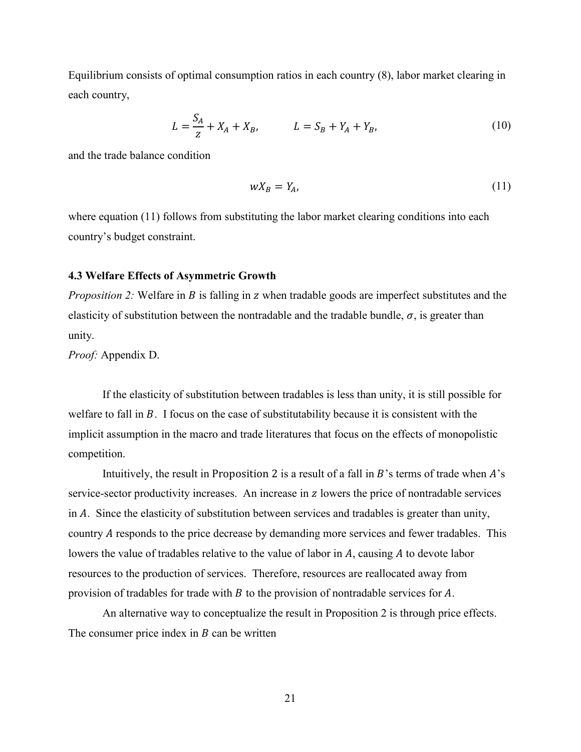Equilibrium consists of optimal consumption ratios in each country (8), labor market clearing in each country,

$$
L = \frac{S_A}{z} + X_A + X_B, \qquad L = S_B + Y_A + Y_B,\tag{10}
$$

and the trade balance condition

$$
wX_B = Y_A,\tag{11}
$$

where equation (11) follows from substituting the labor market clearing conditions into each country's budget constraint.

#### **4.3 Welfare Effects of Asymmetric Growth**

*Proposition 2:* Welfare in *B* is falling in *z* when tradable goods are imperfect substitutes and the elasticity of substitution between the nontradable and the tradable bundle,  $\sigma$ , is greater than unity.

*Proof:* Appendix D.

If the elasticity of substitution between tradables is less than unity, it is still possible for welfare to fall in  $B$ . I focus on the case of substitutability because it is consistent with the implicit assumption in the macro and trade literatures that focus on the effects of monopolistic competition.

Intuitively, the result in Proposition 2 is a result of a fall in  $B$ 's terms of trade when  $A$ 's service-sector productivity increases. An increase in z lowers the price of nontradable services in  $\vec{A}$ . Since the elasticity of substitution between services and tradables is greater than unity, country A responds to the price decrease by demanding more services and fewer tradables. This lowers the value of tradables relative to the value of labor in  $A$ , causing  $A$  to devote labor resources to the production of services. Therefore, resources are reallocated away from provision of tradables for trade with  $B$  to the provision of nontradable services for  $A$ .

An alternative way to conceptualize the result in Proposition 2 is through price effects. The consumer price index in  $B$  can be written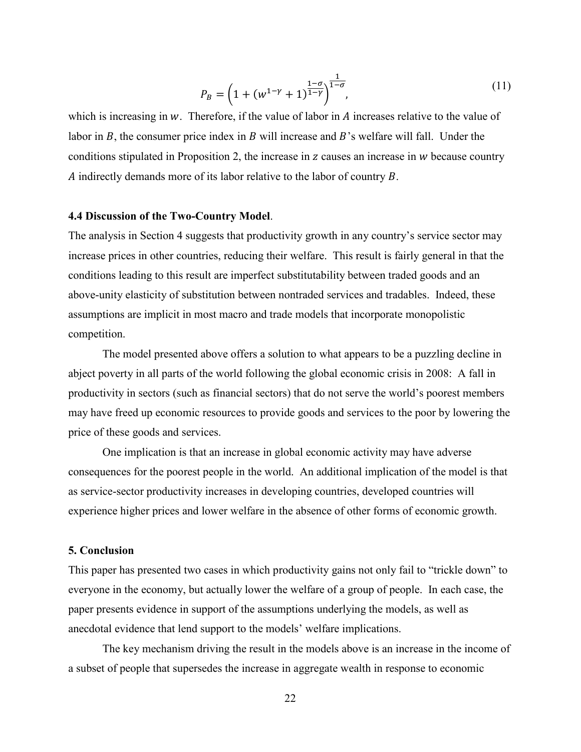$$
P_B = \left(1 + (w^{1-\gamma} + 1)^{\frac{1-\sigma}{1-\gamma}}\right)^{\frac{1}{1-\sigma}},\tag{11}
$$

which is increasing in  $w$ . Therefore, if the value of labor in  $A$  increases relative to the value of labor in  $B$ , the consumer price index in  $B$  will increase and  $B$ 's welfare will fall. Under the conditions stipulated in Proposition 2, the increase in  $z$  causes an increase in  $w$  because country A indirectly demands more of its labor relative to the labor of country  $B$ .

#### **4.4 Discussion of the Two-Country Model**.

The analysis in Section 4 suggests that productivity growth in any country's service sector may increase prices in other countries, reducing their welfare. This result is fairly general in that the conditions leading to this result are imperfect substitutability between traded goods and an above-unity elasticity of substitution between nontraded services and tradables. Indeed, these assumptions are implicit in most macro and trade models that incorporate monopolistic competition.

The model presented above offers a solution to what appears to be a puzzling decline in abject poverty in all parts of the world following the global economic crisis in 2008: A fall in productivity in sectors (such as financial sectors) that do not serve the world's poorest members may have freed up economic resources to provide goods and services to the poor by lowering the price of these goods and services.

One implication is that an increase in global economic activity may have adverse consequences for the poorest people in the world. An additional implication of the model is that as service-sector productivity increases in developing countries, developed countries will experience higher prices and lower welfare in the absence of other forms of economic growth.

#### **5. Conclusion**

This paper has presented two cases in which productivity gains not only fail to "trickle down" to everyone in the economy, but actually lower the welfare of a group of people. In each case, the paper presents evidence in support of the assumptions underlying the models, as well as anecdotal evidence that lend support to the models' welfare implications.

The key mechanism driving the result in the models above is an increase in the income of a subset of people that supersedes the increase in aggregate wealth in response to economic

22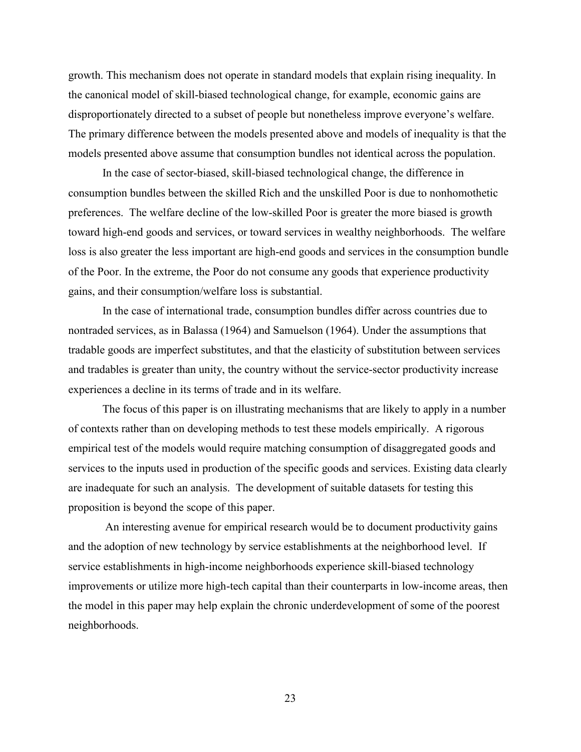growth. This mechanism does not operate in standard models that explain rising inequality. In the canonical model of skill-biased technological change, for example, economic gains are disproportionately directed to a subset of people but nonetheless improve everyone's welfare. The primary difference between the models presented above and models of inequality is that the models presented above assume that consumption bundles not identical across the population.

In the case of sector-biased, skill-biased technological change, the difference in consumption bundles between the skilled Rich and the unskilled Poor is due to nonhomothetic preferences. The welfare decline of the low-skilled Poor is greater the more biased is growth toward high-end goods and services, or toward services in wealthy neighborhoods. The welfare loss is also greater the less important are high-end goods and services in the consumption bundle of the Poor. In the extreme, the Poor do not consume any goods that experience productivity gains, and their consumption/welfare loss is substantial.

In the case of international trade, consumption bundles differ across countries due to nontraded services, as in Balassa (1964) and Samuelson (1964). Under the assumptions that tradable goods are imperfect substitutes, and that the elasticity of substitution between services and tradables is greater than unity, the country without the service-sector productivity increase experiences a decline in its terms of trade and in its welfare.

The focus of this paper is on illustrating mechanisms that are likely to apply in a number of contexts rather than on developing methods to test these models empirically. A rigorous empirical test of the models would require matching consumption of disaggregated goods and services to the inputs used in production of the specific goods and services. Existing data clearly are inadequate for such an analysis. The development of suitable datasets for testing this proposition is beyond the scope of this paper.

An interesting avenue for empirical research would be to document productivity gains and the adoption of new technology by service establishments at the neighborhood level. If service establishments in high-income neighborhoods experience skill-biased technology improvements or utilize more high-tech capital than their counterparts in low-income areas, then the model in this paper may help explain the chronic underdevelopment of some of the poorest neighborhoods.

23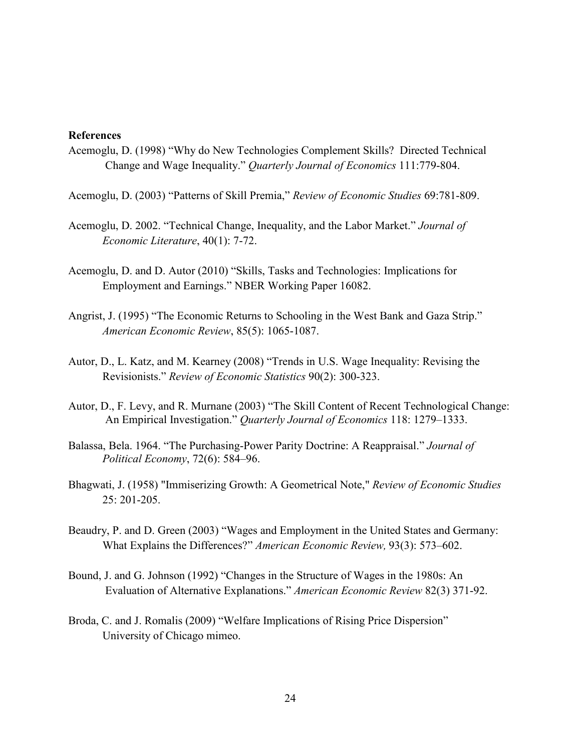#### **References**

- Acemoglu, D. (1998) "Why do New Technologies Complement Skills? Directed Technical Change and Wage Inequality." *Quarterly Journal of Economics* 111:779-804.
- Acemoglu, D. (2003) "Patterns of Skill Premia," *Review of Economic Studies* 69:781-809.
- Acemoglu, D. 2002. "Technical Change, Inequality, and the Labor Market." *Journal of Economic Literature*, 40(1): 7-72.
- Acemoglu, D. and D. Autor (2010) "Skills, Tasks and Technologies: Implications for Employment and Earnings." NBER Working Paper 16082.
- Angrist, J. (1995) "The Economic Returns to Schooling in the West Bank and Gaza Strip." *American Economic Review*, 85(5): 1065-1087.
- Autor, D., L. Katz, and M. Kearney (2008) "Trends in U.S. Wage Inequality: Revising the Revisionists." *Review of Economic Statistics* 90(2): 300-323.
- Autor, D., F. Levy, and R. Murnane (2003) "The Skill Content of Recent Technological Change: An Empirical Investigation." *Quarterly Journal of Economics* 118: 1279–1333.
- Balassa, Bela. 1964. "The Purchasing-Power Parity Doctrine: A Reappraisal." *Journal of Political Economy*, 72(6): 584–96.
- Bhagwati, J. (1958) "Immiserizing Growth: A Geometrical Note," *Review of Economic Studies* 25: 201-205.
- Beaudry, P. and D. Green (2003) "Wages and Employment in the United States and Germany: What Explains the Differences?" *American Economic Review,* 93(3): 573–602.
- Bound, J. and G. Johnson (1992) "Changes in the Structure of Wages in the 1980s: An Evaluation of Alternative Explanations." *American Economic Review* 82(3) 371-92.
- Broda, C. and J. Romalis (2009) ["Welfare Implications of Rising Price Dispersion"](http://faculty.chicagogsb.edu/christian.broda/website/research/unrestricted/Broda_TradeInequality.pdf) University of Chicago mimeo.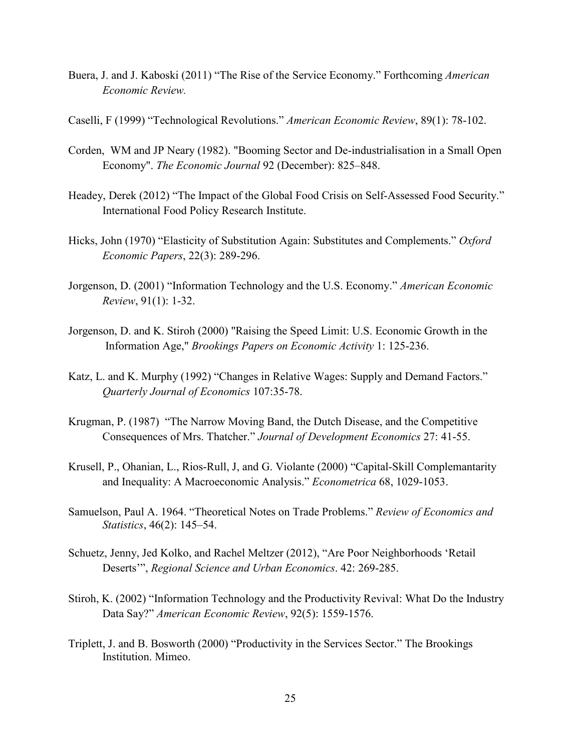- Buera, J. and J. Kaboski (2011) "The Rise of the Service Economy." Forthcoming *American Economic Review.*
- Caselli, F (1999) "Technological Revolutions." *American Economic Review*, 89(1): 78-102.
- Corden, WM and JP Neary (1982). "Booming Sector and De-industrialisation in a Small Open Economy". *The Economic Journal* 92 (December): 825–848.
- Headey, Derek (2012) "The Impact of the Global Food Crisis on Self-Assessed Food Security." International Food Policy Research Institute.
- Hicks, John (1970) "Elasticity of Substitution Again: Substitutes and Complements." *Oxford Economic Papers*, 22(3): 289-296.
- Jorgenson, D. (2001) "Information Technology and the U.S. Economy." *American Economic Review*, 91(1): 1-32.
- Jorgenson, D. and K. Stiroh (2000) "Raising the Speed Limit: U.S. Economic Growth in the Information Age," *Brookings Papers on Economic Activity* 1: 125-236.
- Katz, L. and K. Murphy (1992) "Changes in Relative Wages: Supply and Demand Factors." *Quarterly Journal of Economics* 107:35-78.
- Krugman, P. (1987) "The Narrow Moving Band, the Dutch Disease, and the Competitive Consequences of Mrs. Thatcher." *Journal of Development Economics* 27: 41-55.
- Krusell, P., Ohanian, L., Rios-Rull, J, and G. Violante (2000) "Capital-Skill Complemantarity and Inequality: A Macroeconomic Analysis." *Econometrica* 68, 1029-1053.
- Samuelson, Paul A. 1964. "Theoretical Notes on Trade Problems." *Review of Economics and Statistics*, 46(2): 145–54.
- Schuetz, Jenny, Jed Kolko, and Rachel Meltzer (2012), "Are Poor Neighborhoods 'Retail Deserts'", *Regional Science and Urban Economics*. 42: 269-285.
- Stiroh, K. (2002) "Information Technology and the Productivity Revival: What Do the Industry Data Say?" *American Economic Review*, 92(5): 1559-1576.
- Triplett, J. and B. Bosworth (2000) "Productivity in the Services Sector." The Brookings Institution. Mimeo.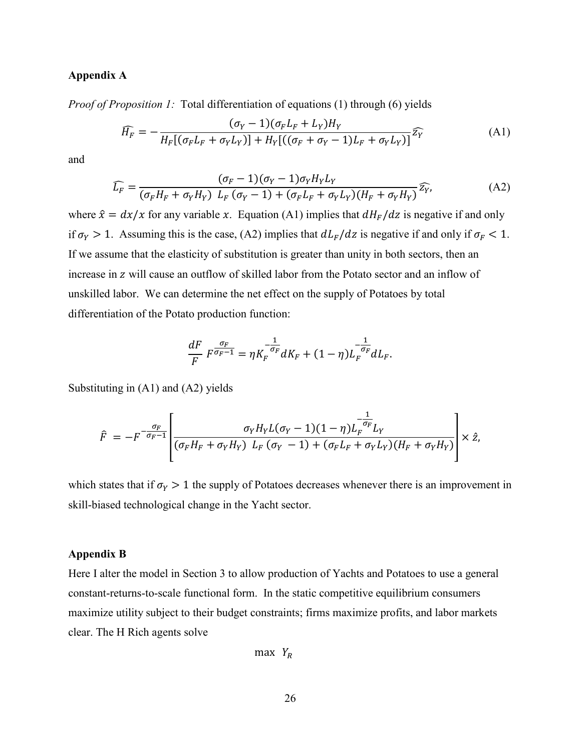#### **Appendix A**

*Proof of Proposition 1:* Total differentiation of equations (1) through (6) yields

$$
\widehat{H_F} = -\frac{(\sigma_Y - 1)(\sigma_F L_F + L_Y)H_Y}{H_F[(\sigma_F L_F + \sigma_Y L_Y)] + H_Y[((\sigma_F + \sigma_Y - 1)L_F + \sigma_Y L_Y)]}\widehat{Z_Y}
$$
(A1)

and

$$
\widehat{L_F} = \frac{(\sigma_F - 1)(\sigma_Y - 1)\sigma_Y H_Y L_Y}{(\sigma_F H_F + \sigma_Y H_Y) L_F (\sigma_Y - 1) + (\sigma_F L_F + \sigma_Y L_Y)(H_F + \sigma_Y H_Y)} \widehat{z_Y},
$$
\n(A2)

where  $\hat{x} = dx/x$  for any variable x. Equation (A1) implies that  $dH_F/dz$  is negative if and only if  $\sigma_Y > 1$ . Assuming this is the case, (A2) implies that  $dL_F/dz$  is negative if and only if  $\sigma_F < 1$ . If we assume that the elasticity of substitution is greater than unity in both sectors, then an increase in z will cause an outflow of skilled labor from the Potato sector and an inflow of unskilled labor. We can determine the net effect on the supply of Potatoes by total differentiation of the Potato production function:

$$
\frac{dF}{F} F^{\frac{\sigma_F}{\sigma_F - 1}} = \eta K_F^{-\frac{1}{\sigma_F}} dK_F + (1 - \eta)L_F^{-\frac{1}{\sigma_F}} dL_F.
$$

Substituting in (A1) and (A2) yields

$$
\hat{F} = -F^{-\frac{\sigma_F}{\sigma_F - 1}} \left[ \frac{\sigma_Y H_Y L(\sigma_Y - 1)(1 - \eta) L_F^{-\frac{1}{\sigma_F}} L_Y}{(\sigma_F H_F + \sigma_Y H_Y) L_F (\sigma_Y - 1) + (\sigma_F L_F + \sigma_Y L_Y)(H_F + \sigma_Y H_Y)} \right] \times \hat{z},
$$

which states that if  $\sigma_Y > 1$  the supply of Potatoes decreases whenever there is an improvement in skill-biased technological change in the Yacht sector.

#### **Appendix B**

Here I alter the model in Section 3 to allow production of Yachts and Potatoes to use a general constant-returns-to-scale functional form. In the static competitive equilibrium consumers maximize utility subject to their budget constraints; firms maximize profits, and labor markets clear. The H Rich agents solve

$$
\max Y_R
$$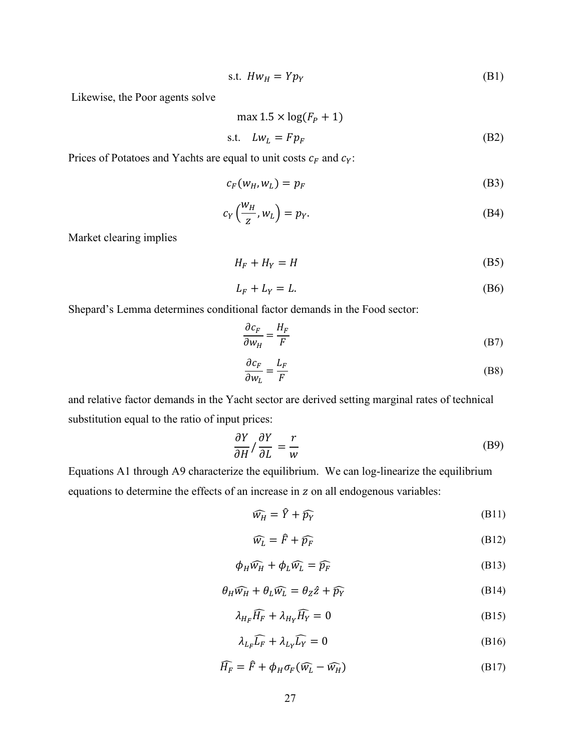$$
s.t. \quad Hw_H = Yp_Y \tag{B1}
$$

Likewise, the Poor agents solve

$$
\max 1.5 \times \log(F_P + 1)
$$
  
s.t.  $Lw_L = F p_F$  (B2)

Prices of Potatoes and Yachts are equal to unit costs  $c_F$  and  $c_Y$ :

$$
c_F(w_H, w_L) = p_F \tag{B3}
$$

$$
c_Y\left(\frac{w_H}{z}, w_L\right) = p_Y. \tag{B4}
$$

Market clearing implies

$$
H_F + H_Y = H \tag{B5}
$$

$$
L_F + L_Y = L. \tag{B6}
$$

Shepard's Lemma determines conditional factor demands in the Food sector:

$$
\frac{\partial c_F}{\partial w_H} = \frac{H_F}{F} \tag{B7}
$$

$$
\frac{\partial c_F}{\partial w_L} = \frac{L_F}{F}
$$
 (B8)

and relative factor demands in the Yacht sector are derived setting marginal rates of technical substitution equal to the ratio of input prices:

$$
\frac{\partial Y}{\partial H} / \frac{\partial Y}{\partial L} = \frac{r}{w}
$$
 (B9)

Equations A1 through A9 characterize the equilibrium. We can log-linearize the equilibrium equations to determine the effects of an increase in z on all endogenous variables:

$$
\widehat{w_H} = \widehat{Y} + \widehat{p_Y} \tag{B11}
$$

$$
\widehat{w_L} = \widehat{F} + \widehat{p_F} \tag{B12}
$$

$$
\phi_H \widehat{w_H} + \phi_L \widehat{w_L} = \widehat{p_F} \tag{B13}
$$

$$
\theta_H \widehat{w_H} + \theta_L \widehat{w_L} = \theta_Z \hat{z} + \widehat{p_Y}
$$
 (B14)

$$
\lambda_{H_F} \widehat{H_F} + \lambda_{H_Y} \widehat{H_Y} = 0 \tag{B15}
$$

$$
\lambda_{L_F} \widehat{L_F} + \lambda_{L_Y} \widehat{L_Y} = 0
$$
 (B16)

$$
\widehat{H_F} = \widehat{F} + \phi_H \sigma_F (\widehat{w_L} - \widehat{w_H})
$$
\n(B17)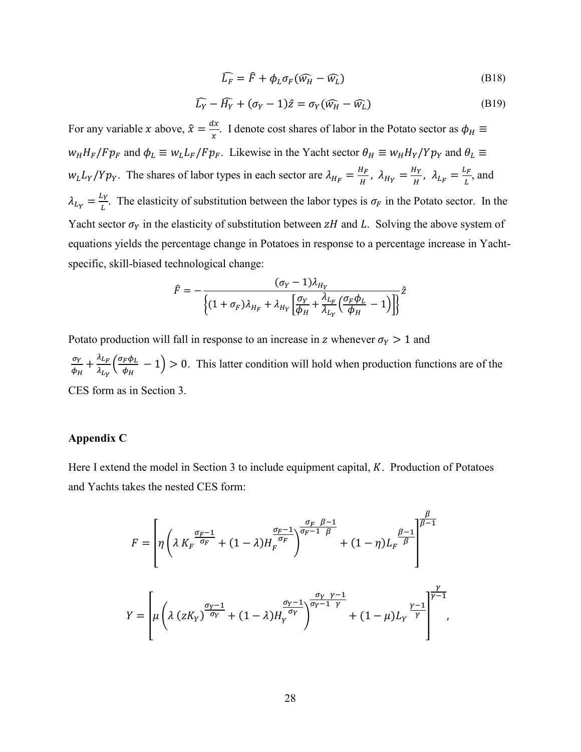$$
\widehat{L_F} = \widehat{F} + \phi_L \sigma_F (\widehat{w_H} - \widehat{w_L})
$$
\n(B18)

$$
\widehat{L_Y} - \widehat{H_Y} + (\sigma_Y - 1)\hat{z} = \sigma_Y(\widehat{w_H} - \widehat{w_L})
$$
\n(B19)

For any variable *x* above,  $\hat{x} = \frac{dx}{x}$ . I denote cost shares of labor in the Potato sector as  $\phi_H \equiv$  $w_H H_F/Fp_F$  and  $\phi_L \equiv w_L L_F/Fp_F$ . Likewise in the Yacht sector  $\theta_H \equiv w_H H_Y/Yp_Y$  and  $\theta_L \equiv$  $W_L L_Y/Yp_Y$ . The shares of labor types in each sector are  $\lambda_{H_F} = \frac{H_F}{H}$ ,  $\lambda_{H_Y} = \frac{H_Y}{H}$ ,  $\lambda_{L_F} = \frac{L_F}{L}$ , and  $\lambda_{Ly} = \frac{L_Y}{L}$ . The elasticity of substitution between the labor types is  $\sigma_F$  in the Potato sector. In the Yacht sector  $\sigma_Y$  in the elasticity of substitution between  $zH$  and L. Solving the above system of equations yields the percentage change in Potatoes in response to a percentage increase in Yachtspecific, skill-biased technological change:

$$
\hat{F} = -\frac{(\sigma_Y - 1)\lambda_{H_Y}}{\left\{ (1 + \sigma_F)\lambda_{H_F} + \lambda_{H_Y} \left[ \frac{\sigma_Y}{\phi_H} + \frac{\lambda_{L_F}}{\lambda_{L_Y}} \left( \frac{\sigma_F \phi_L}{\phi_H} - 1 \right) \right] \right\}^2}
$$

Potato production will fall in response to an increase in z whenever  $\sigma_Y > 1$  and  $\sigma_Y$  $\frac{\sigma_Y}{\phi_H} + \frac{\lambda_{L_F}}{\lambda_{L_Y}}$  $\frac{\lambda_{L_F}}{\lambda_{L_Y}}\Big(\frac{\sigma_F \phi_L}{\phi_H}$  $\frac{\mu \Psi L}{\phi_H} - 1$  > 0. This latter condition will hold when production functions are of the CES form as in Section 3.

#### **Appendix C**

Here I extend the model in Section 3 to include equipment capital,  $K$ . Production of Potatoes and Yachts takes the nested CES form:

$$
F = \left[ \eta \left( \lambda K_F^{\frac{\sigma_F - 1}{\sigma_F}} + (1 - \lambda) H_F^{\frac{\sigma_F - 1}{\sigma_F}} \right)^{\frac{\sigma_F - 1}{\sigma_F - 1} \frac{\beta}{\beta}} + (1 - \eta) L_F^{\frac{\beta - 1}{\beta}} \right]^{\frac{\beta}{\beta - 1}}
$$

$$
Y = \left[ \mu \left( \lambda (z K_Y)^{\frac{\sigma_Y - 1}{\sigma_Y}} + (1 - \lambda) H_Y^{\frac{\sigma_Y - 1}{\sigma_Y}} \right)^{\frac{\sigma_Y}{\sigma_Y - 1} \frac{\gamma - 1}{\gamma}} + (1 - \mu) L_Y^{\frac{\gamma - 1}{\gamma}} \right]^{\frac{\gamma}{\gamma - 1}},
$$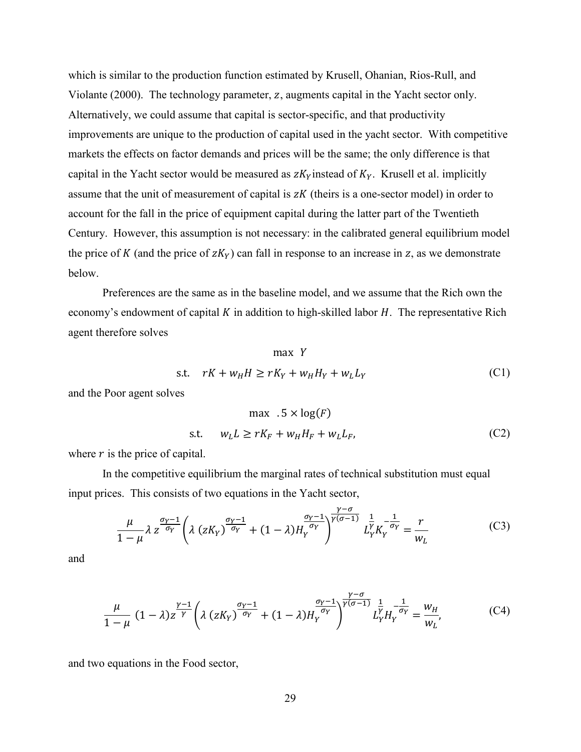which is similar to the production function estimated by Krusell, Ohanian, Rios-Rull, and Violante (2000). The technology parameter, z, augments capital in the Yacht sector only. Alternatively, we could assume that capital is sector-specific, and that productivity improvements are unique to the production of capital used in the yacht sector. With competitive markets the effects on factor demands and prices will be the same; the only difference is that capital in the Yacht sector would be measured as  $zK<sub>y</sub>$  instead of  $K<sub>y</sub>$ . Krusell et al. implicitly assume that the unit of measurement of capital is  $zK$  (theirs is a one-sector model) in order to account for the fall in the price of equipment capital during the latter part of the Twentieth Century. However, this assumption is not necessary: in the calibrated general equilibrium model the price of K (and the price of  $zK_y$ ) can fall in response to an increase in z, as we demonstrate below.

Preferences are the same as in the baseline model, and we assume that the Rich own the economy's endowment of capital  $K$  in addition to high-skilled labor  $H$ . The representative Rich agent therefore solves

$$
\max Y
$$
  
s.t.  $rK + w_H H \ge rK_Y + w_H H_Y + w_L L_Y$  (C1)

and the Poor agent solves

$$
\max \quad .5 \times \log(F)
$$
  
s.t. 
$$
w_L L \ge rK_F + w_H H_F + w_L L_F,
$$
 (C2)

 $v - \sigma$ 

where  $r$  is the price of capital.

In the competitive equilibrium the marginal rates of technical substitution must equal input prices. This consists of two equations in the Yacht sector,

$$
\frac{\mu}{1-\mu}\lambda z^{\frac{\sigma_Y-1}{\sigma_Y}}\left(\lambda\left(zK_Y\right)^{\frac{\sigma_Y-1}{\sigma_Y}}+(1-\lambda)H_Y^{\frac{\sigma_Y-1}{\sigma_Y}}\right)^{\frac{\gamma-\sigma}{\gamma(\sigma-1)}}L_Y^{\frac{1}{\gamma}}K_Y^{-\frac{1}{\sigma_Y}}=\frac{r}{w_L}
$$
(C3)

and

$$
\frac{\mu}{1-\mu} (1-\lambda) z^{\frac{\gamma-1}{\gamma}} \left(\lambda (zK_{\gamma})^{\frac{\sigma_{\gamma}-1}{\sigma_{\gamma}}} + (1-\lambda) H_{\gamma}^{\frac{\sigma_{\gamma}-1}{\sigma_{\gamma}}}\right)^{\frac{\gamma-\sigma}{\gamma(\sigma-1)}} L_{\gamma}^{\frac{1}{\gamma}} H_{\gamma}^{-\frac{1}{\sigma_{\gamma}}} = \frac{w_H}{w_L},\tag{C4}
$$

and two equations in the Food sector,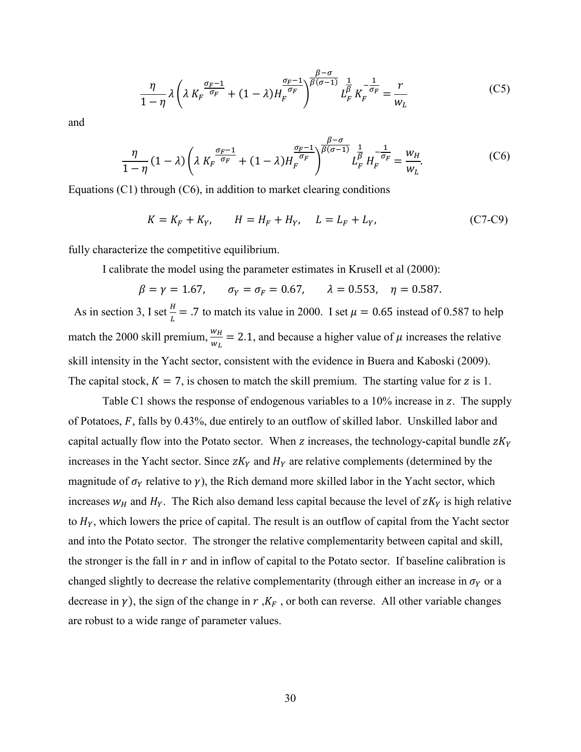$$
\frac{\eta}{1-\eta}\lambda\left(\lambda K_F^{\frac{\sigma_F-1}{\sigma_F}} + (1-\lambda)H_F^{\frac{\sigma_F-1}{\sigma_F}}\right)^{\frac{\beta-\sigma}{\beta(\sigma-1)}}L_F^{\frac{1}{\beta}}K_F^{-\frac{1}{\sigma_F}} = \frac{r}{w_L}
$$
(C5)

and

$$
\frac{\eta}{1-\eta}(1-\lambda)\left(\lambda K_F^{\frac{\sigma_F-1}{\sigma_F}}+(1-\lambda)H_F^{\frac{\sigma_F-1}{\sigma_F}}\right)^{\frac{\beta-\sigma}{\beta(\sigma-1)}}L_F^{\frac{1}{\beta}}H_F^{-\frac{1}{\sigma_F}}=\frac{w_H}{w_L}.
$$
(C6)

Equations  $(C1)$  through  $(C6)$ , in addition to market clearing conditions

$$
K = K_F + K_Y, \qquad H = H_F + H_Y, \quad L = L_F + L_Y,\tag{C7-C9}
$$

fully characterize the competitive equilibrium.

I calibrate the model using the parameter estimates in Krusell et al (2000):

 $\beta = \gamma = 1.67$ ,  $\sigma_Y = \sigma_F = 0.67$ ,  $\lambda = 0.553$ ,  $\eta = 0.587$ .

As in section 3, I set  $\frac{H}{L}$  = .7 to match its value in 2000. I set  $\mu$  = 0.65 instead of 0.587 to help match the 2000 skill premium,  $\frac{w_H}{w_L}$  = 2.1, and because a higher value of  $\mu$  increases the relative skill intensity in the Yacht sector, consistent with the evidence in Buera and Kaboski (2009). The capital stock,  $K = 7$ , is chosen to match the skill premium. The starting value for z is 1.

Table C1 shows the response of endogenous variables to a  $10\%$  increase in z. The supply of Potatoes,  $F$ , falls by 0.43%, due entirely to an outflow of skilled labor. Unskilled labor and capital actually flow into the Potato sector. When z increases, the technology-capital bundle  $zK_y$ increases in the Yacht sector. Since  $zK<sub>Y</sub>$  and  $H<sub>Y</sub>$  are relative complements (determined by the magnitude of  $\sigma_Y$  relative to  $\gamma$ ), the Rich demand more skilled labor in the Yacht sector, which increases  $w_H$  and  $H_Y$ . The Rich also demand less capital because the level of  $zK_Y$  is high relative to  $H<sub>Y</sub>$ , which lowers the price of capital. The result is an outflow of capital from the Yacht sector and into the Potato sector. The stronger the relative complementarity between capital and skill, the stronger is the fall in  $r$  and in inflow of capital to the Potato sector. If baseline calibration is changed slightly to decrease the relative complementarity (through either an increase in  $\sigma_Y$  or a decrease in  $\gamma$ ), the sign of the change in  $r$ ,  $K_F$ , or both can reverse. All other variable changes are robust to a wide range of parameter values.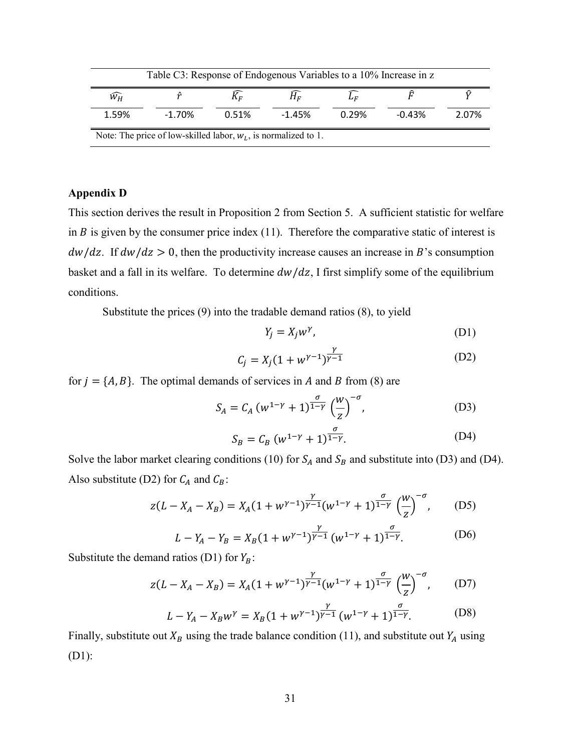| Table C3: Response of Endogenous Variables to a 10% Increase in z |          |       |          |       |          |       |  |  |  |
|-------------------------------------------------------------------|----------|-------|----------|-------|----------|-------|--|--|--|
| $\widehat{W_H}$                                                   |          | Kг    | $H_E$    |       |          |       |  |  |  |
| 1.59%                                                             | $-1.70%$ | 0.51% | $-1.45%$ | 0.29% | $-0.43%$ | 2.07% |  |  |  |
| Note: The price of low-skilled labor, $w_L$ , is normalized to 1. |          |       |          |       |          |       |  |  |  |

#### **Appendix D**

This section derives the result in Proposition 2 from Section 5. A sufficient statistic for welfare in  $B$  is given by the consumer price index (11). Therefore the comparative static of interest is  $dw/dz$ . If  $dw/dz > 0$ , then the productivity increase causes an increase in B's consumption basket and a fall in its welfare. To determine  $dw/dz$ , I first simplify some of the equilibrium conditions.

Substitute the prices (9) into the tradable demand ratios (8), to yield

$$
Y_j = X_j w^{\gamma}, \tag{D1}
$$

$$
C_j = X_j (1 + w^{\gamma - 1})^{\frac{\gamma}{\gamma - 1}}
$$
 (D2)

for  $j = \{A, B\}$ . The optimal demands of services in A and B from (8) are

$$
S_A = C_A (w^{1-\gamma} + 1)^{\frac{\sigma}{1-\gamma}} \left(\frac{w}{z}\right)^{-\sigma}, \tag{D3}
$$

$$
S_B = C_B (w^{1-\gamma} + 1)^{\frac{\sigma}{1-\gamma}}.
$$
 (D4)

Solve the labor market clearing conditions (10) for  $S_A$  and  $S_B$  and substitute into (D3) and (D4). Also substitute (D2) for  $C_A$  and  $C_B$ :

$$
z(L - X_A - X_B) = X_A(1 + w^{\gamma - 1})^{\frac{\gamma}{\gamma - 1}}(w^{1 - \gamma} + 1)^{\frac{\sigma}{1 - \gamma}} \left(\frac{w}{z}\right)^{-\sigma}, \quad (D5)
$$

$$
L - Y_A - Y_B = X_B (1 + w^{\gamma - 1})^{\frac{\gamma}{\gamma - 1}} (w^{1 - \gamma} + 1)^{\frac{\sigma}{1 - \gamma}}.
$$
 (D6)

Substitute the demand ratios (D1) for  $Y_B$ :

$$
z(L - X_A - X_B) = X_A(1 + w^{\gamma - 1})^{\frac{\gamma}{\gamma - 1}}(w^{1 - \gamma} + 1)^{\frac{\sigma}{1 - \gamma}} \left(\frac{w}{z}\right)^{-\sigma}, \quad (D7)
$$

$$
L - Y_A - X_B w^{\gamma} = X_B (1 + w^{\gamma - 1})^{\frac{\gamma}{\gamma - 1}} (w^{1 - \gamma} + 1)^{\frac{\sigma}{1 - \gamma}}.
$$
 (D8)

Finally, substitute out  $X_B$  using the trade balance condition (11), and substitute out  $Y_A$  using (D1):